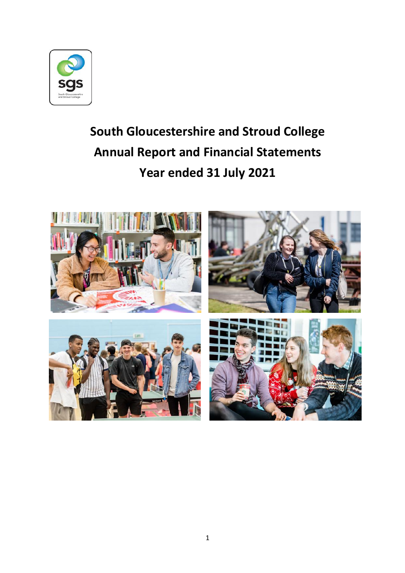

# **South Gloucestershire and Stroud College Annual Report and Financial Statements Year ended 31 July 2021**

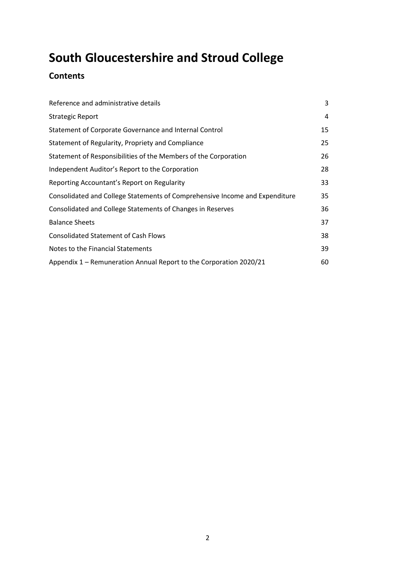# **Contents**

| Reference and administrative details                                        | 3  |
|-----------------------------------------------------------------------------|----|
| <b>Strategic Report</b>                                                     | 4  |
| Statement of Corporate Governance and Internal Control                      | 15 |
| Statement of Regularity, Propriety and Compliance                           | 25 |
| Statement of Responsibilities of the Members of the Corporation             | 26 |
| Independent Auditor's Report to the Corporation                             | 28 |
| Reporting Accountant's Report on Regularity                                 | 33 |
| Consolidated and College Statements of Comprehensive Income and Expenditure | 35 |
| Consolidated and College Statements of Changes in Reserves                  | 36 |
| <b>Balance Sheets</b>                                                       | 37 |
| <b>Consolidated Statement of Cash Flows</b>                                 | 38 |
| Notes to the Financial Statements                                           | 39 |
| Appendix 1 – Remuneration Annual Report to the Corporation 2020/21          | 60 |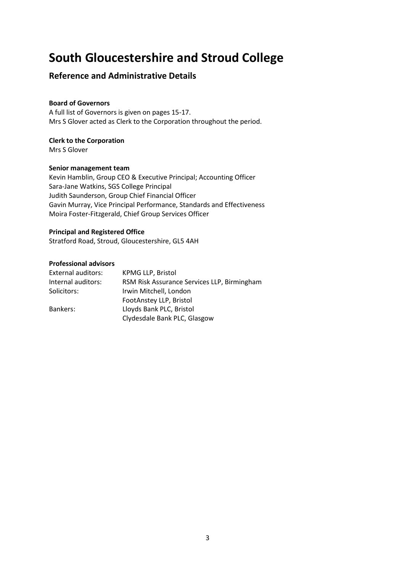# **Reference and Administrative Details**

## **Board of Governors**

A full list of Governors is given on pages 15-17. Mrs S Glover acted as Clerk to the Corporation throughout the period.

## **Clerk to the Corporation**

Mrs S Glover

## **Senior management team**

Kevin Hamblin, Group CEO & Executive Principal; Accounting Officer Sara-Jane Watkins, SGS College Principal Judith Saunderson, Group Chief Financial Officer Gavin Murray, Vice Principal Performance, Standards and Effectiveness Moira Foster-Fitzgerald, Chief Group Services Officer

## **Principal and Registered Office**

Stratford Road, Stroud, Gloucestershire, GL5 4AH

#### **Professional advisors**

| External auditors: | <b>KPMG LLP, Bristol</b>                    |
|--------------------|---------------------------------------------|
| Internal auditors: | RSM Risk Assurance Services LLP, Birmingham |
| Solicitors:        | Irwin Mitchell, London                      |
|                    | FootAnstey LLP, Bristol                     |
| Bankers:           | Lloyds Bank PLC, Bristol                    |
|                    | Clydesdale Bank PLC, Glasgow                |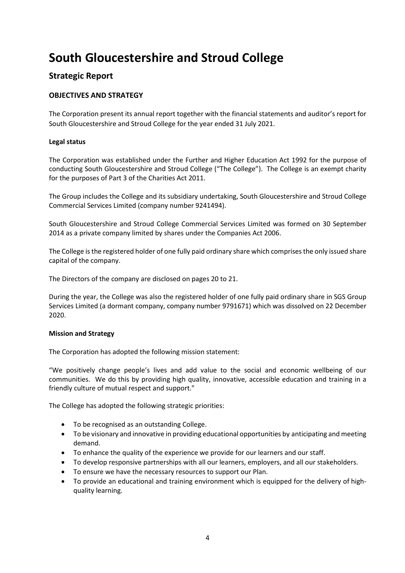# **Strategic Report**

## **OBJECTIVES AND STRATEGY**

The Corporation present its annual report together with the financial statements and auditor's report for South Gloucestershire and Stroud College for the year ended 31 July 2021.

## **Legal status**

The Corporation was established under the Further and Higher Education Act 1992 for the purpose of conducting South Gloucestershire and Stroud College ("The College"). The College is an exempt charity for the purposes of Part 3 of the Charities Act 2011.

The Group includes the College and its subsidiary undertaking, South Gloucestershire and Stroud College Commercial Services Limited (company number 9241494).

South Gloucestershire and Stroud College Commercial Services Limited was formed on 30 September 2014 as a private company limited by shares under the Companies Act 2006.

The College is the registered holder of one fully paid ordinary share which comprisesthe only issued share capital of the company.

The Directors of the company are disclosed on pages 20 to 21.

During the year, the College was also the registered holder of one fully paid ordinary share in SGS Group Services Limited (a dormant company, company number 9791671) which was dissolved on 22 December 2020.

#### **Mission and Strategy**

The Corporation has adopted the following mission statement:

"We positively change people's lives and add value to the social and economic wellbeing of our communities. We do this by providing high quality, innovative, accessible education and training in a friendly culture of mutual respect and support."

The College has adopted the following strategic priorities:

- To be recognised as an outstanding College.
- To be visionary and innovative in providing educational opportunities by anticipating and meeting demand.
- To enhance the quality of the experience we provide for our learners and our staff.
- To develop responsive partnerships with all our learners, employers, and all our stakeholders.
- To ensure we have the necessary resources to support our Plan.
- To provide an educational and training environment which is equipped for the delivery of highquality learning.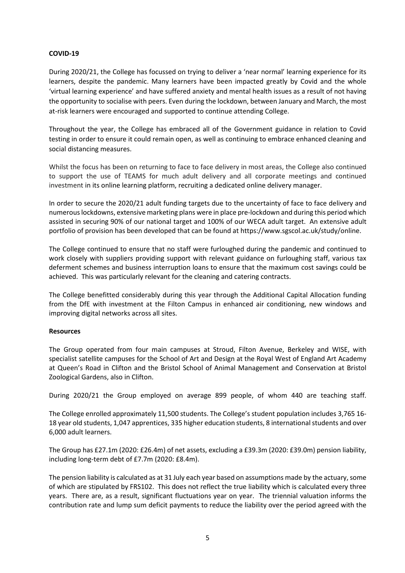#### **COVID-19**

During 2020/21, the College has focussed on trying to deliver a 'near normal' learning experience for its learners, despite the pandemic. Many learners have been impacted greatly by Covid and the whole 'virtual learning experience' and have suffered anxiety and mental health issues as a result of not having the opportunity to socialise with peers. Even during the lockdown, between January and March, the most at-risk learners were encouraged and supported to continue attending College.

Throughout the year, the College has embraced all of the Government guidance in relation to Covid testing in order to ensure it could remain open, as well as continuing to embrace enhanced cleaning and social distancing measures.

Whilst the focus has been on returning to face to face delivery in most areas, the College also continued to support the use of TEAMS for much adult delivery and all corporate meetings and continued investment in its online learning platform, recruiting a dedicated online delivery manager.

In order to secure the 2020/21 adult funding targets due to the uncertainty of face to face delivery and numerouslockdowns, extensive marketing plans were in place pre-lockdown and during this period which assisted in securing 90% of our national target and 100% of our WECA adult target. An extensive adult portfolio of provision has been developed that can be found at [https://www.sgscol.ac.uk/study/online.](https://www.sgscol.ac.uk/study/online)

The College continued to ensure that no staff were furloughed during the pandemic and continued to work closely with suppliers providing support with relevant guidance on furloughing staff, various tax deferment schemes and business interruption loans to ensure that the maximum cost savings could be achieved. This was particularly relevant for the cleaning and catering contracts.

The College benefitted considerably during this year through the Additional Capital Allocation funding from the DfE with investment at the Filton Campus in enhanced air conditioning, new windows and improving digital networks across all sites.

#### **Resources**

The Group operated from four main campuses at Stroud, Filton Avenue, Berkeley and WISE, with specialist satellite campuses for the School of Art and Design at the Royal West of England Art Academy at Queen's Road in Clifton and the Bristol School of Animal Management and Conservation at Bristol Zoological Gardens, also in Clifton.

During 2020/21 the Group employed on average 899 people, of whom 440 are teaching staff.

The College enrolled approximately 11,500 students. The College's student population includes 3,765 16- 18 year old students, 1,047 apprentices, 335 higher education students, 8 international students and over 6,000 adult learners.

The Group has £27.1m (2020: £26.4m) of net assets, excluding a £39.3m (2020: £39.0m) pension liability, including long-term debt of £7.7m (2020: £8.4m).

The pension liability is calculated as at 31 July each year based on assumptions made by the actuary, some of which are stipulated by FRS102. This does not reflect the true liability which is calculated every three years. There are, as a result, significant fluctuations year on year. The triennial valuation informs the contribution rate and lump sum deficit payments to reduce the liability over the period agreed with the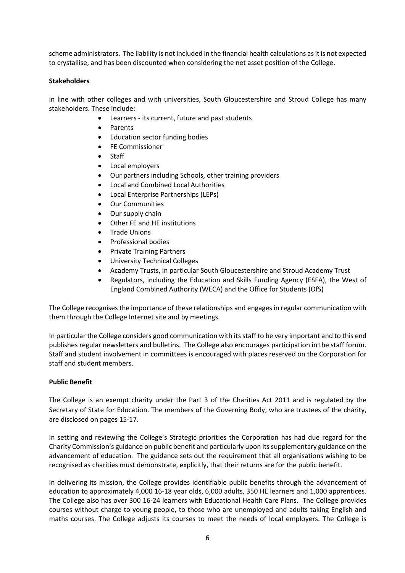scheme administrators. The liability is not included in the financial health calculations as it is not expected to crystallise, and has been discounted when considering the net asset position of the College.

#### **Stakeholders**

In line with other colleges and with universities, South Gloucestershire and Stroud College has many stakeholders. These include:

- Learners its current, future and past students
- Parents
- Education sector funding bodies
- FE Commissioner
- **Staff**
- Local employers
- Our partners including Schools, other training providers
- Local and Combined Local Authorities
- Local Enterprise Partnerships (LEPs)
- Our Communities
- Our supply chain
- Other FE and HE institutions
- Trade Unions
- Professional bodies
- Private Training Partners
- University Technical Colleges
- Academy Trusts, in particular South Gloucestershire and Stroud Academy Trust
- Regulators, including the Education and Skills Funding Agency (ESFA), the West of England Combined Authority (WECA) and the Office for Students (OfS)

The College recognises the importance of these relationships and engages in regular communication with them through the College Internet site and by meetings.

In particular the College considers good communication with its staff to be very important and to this end publishes regular newsletters and bulletins. The College also encourages participation in the staff forum. Staff and student involvement in committees is encouraged with places reserved on the Corporation for staff and student members.

#### **Public Benefit**

The College is an exempt charity under the Part 3 of the Charities Act 2011 and is regulated by the Secretary of State for Education. The members of the Governing Body, who are trustees of the charity, are disclosed on pages 15-17.

In setting and reviewing the College's Strategic priorities the Corporation has had due regard for the Charity Commission's guidance on public benefit and particularly upon its supplementary guidance on the advancement of education. The guidance sets out the requirement that all organisations wishing to be recognised as charities must demonstrate, explicitly, that their returns are for the public benefit.

In delivering its mission, the College provides identifiable public benefits through the advancement of education to approximately 4,000 16-18 year olds, 6,000 adults, 350 HE learners and 1,000 apprentices. The College also has over 300 16-24 learners with Educational Health Care Plans. The College provides courses without charge to young people, to those who are unemployed and adults taking English and maths courses. The College adjusts its courses to meet the needs of local employers. The College is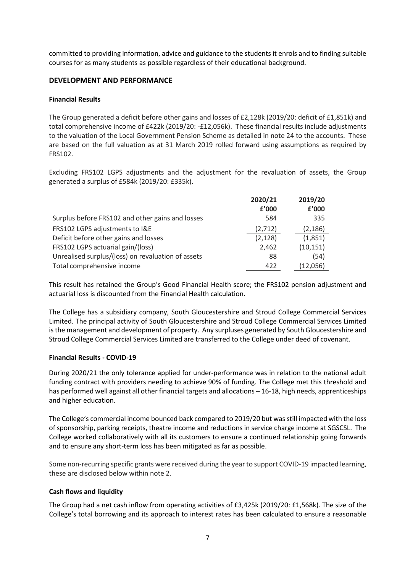committed to providing information, advice and guidance to the students it enrols and to finding suitable courses for as many students as possible regardless of their educational background.

## **DEVELOPMENT AND PERFORMANCE**

#### **Financial Results**

The Group generated a deficit before other gains and losses of £2,128k (2019/20: deficit of £1,851k) and total comprehensive income of £422k (2019/20: -£12,056k). These financial results include adjustments to the valuation of the Local Government Pension Scheme as detailed in note 24 to the accounts. These are based on the full valuation as at 31 March 2019 rolled forward using assumptions as required by FRS102.

Excluding FRS102 LGPS adjustments and the adjustment for the revaluation of assets, the Group generated a surplus of £584k (2019/20: £335k).

|                                                    | 2020/21<br>£'000 | 2019/20<br>£'000 |
|----------------------------------------------------|------------------|------------------|
|                                                    |                  |                  |
| Surplus before FRS102 and other gains and losses   | 584              | 335              |
| FRS102 LGPS adjustments to I&E                     | (2, 712)         | (2, 186)         |
| Deficit before other gains and losses              | (2, 128)         | (1,851)          |
| FRS102 LGPS actuarial gain/(loss)                  | 2,462            | (10, 151)        |
| Unrealised surplus/(loss) on revaluation of assets | 88               | (54)             |
| Total comprehensive income                         | 422              | (12,056)         |
|                                                    |                  |                  |

This result has retained the Group's Good Financial Health score; the FRS102 pension adjustment and actuarial loss is discounted from the Financial Health calculation.

The College has a subsidiary company, South Gloucestershire and Stroud College Commercial Services Limited. The principal activity of South Gloucestershire and Stroud College Commercial Services Limited is the management and development of property. Any surpluses generated by South Gloucestershire and Stroud College Commercial Services Limited are transferred to the College under deed of covenant.

#### **Financial Results - COVID-19**

During 2020/21 the only tolerance applied for under-performance was in relation to the national adult funding contract with providers needing to achieve 90% of funding. The College met this threshold and has performed well against all other financial targets and allocations – 16-18, high needs, apprenticeships and higher education.

The College's commercial income bounced back compared to 2019/20 but wasstill impacted with the loss of sponsorship, parking receipts, theatre income and reductions in service charge income at SGSCSL. The College worked collaboratively with all its customers to ensure a continued relationship going forwards and to ensure any short-term loss has been mitigated as far as possible.

Some non-recurring specific grants were received during the year to support COVID-19 impacted learning, these are disclosed below within note 2.

#### **Cash flows and liquidity**

The Group had a net cash inflow from operating activities of £3,425k (2019/20: £1,568k). The size of the College's total borrowing and its approach to interest rates has been calculated to ensure a reasonable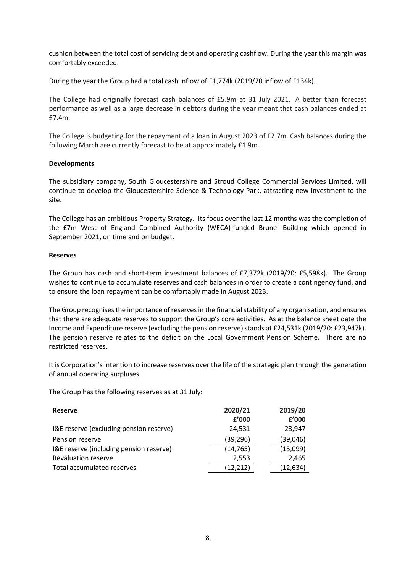cushion between the total cost of servicing debt and operating cashflow. During the year this margin was comfortably exceeded.

During the year the Group had a total cash inflow of £1,774k (2019/20 inflow of £134k).

The College had originally forecast cash balances of £5.9m at 31 July 2021. A better than forecast performance as well as a large decrease in debtors during the year meant that cash balances ended at £7.4m.

The College is budgeting for the repayment of a loan in August 2023 of £2.7m. Cash balances during the following March are currently forecast to be at approximately £1.9m.

#### **Developments**

The subsidiary company, South Gloucestershire and Stroud College Commercial Services Limited, will continue to develop the Gloucestershire Science & Technology Park, attracting new investment to the site.

The College has an ambitious Property Strategy. Its focus over the last 12 months was the completion of the £7m West of England Combined Authority (WECA)-funded Brunel Building which opened in September 2021, on time and on budget.

## **Reserves**

The Group has cash and short-term investment balances of £7,372k (2019/20: £5,598k). The Group wishes to continue to accumulate reserves and cash balances in order to create a contingency fund, and to ensure the loan repayment can be comfortably made in August 2023.

The Group recognises the importance of reserves in the financial stability of any organisation, and ensures that there are adequate reserves to support the Group's core activities. As at the balance sheet date the Income and Expenditure reserve (excluding the pension reserve) stands at £24,531k (2019/20: £23,947k). The pension reserve relates to the deficit on the Local Government Pension Scheme. There are no restricted reserves.

It is Corporation's intention to increase reserves over the life of the strategic plan through the generation of annual operating surpluses.

The Group has the following reserves as at 31 July:

| <b>Reserve</b>                          | 2020/21<br>f'000 | 2019/20<br>£'000 |
|-----------------------------------------|------------------|------------------|
| I&E reserve (excluding pension reserve) | 24,531           | 23,947           |
| Pension reserve                         | (39,296)         | (39,046)         |
| I&E reserve (including pension reserve) | (14, 765)        | (15,099)         |
| <b>Revaluation reserve</b>              | 2,553            | 2,465            |
| Total accumulated reserves              | (12, 212)        | (12, 634)        |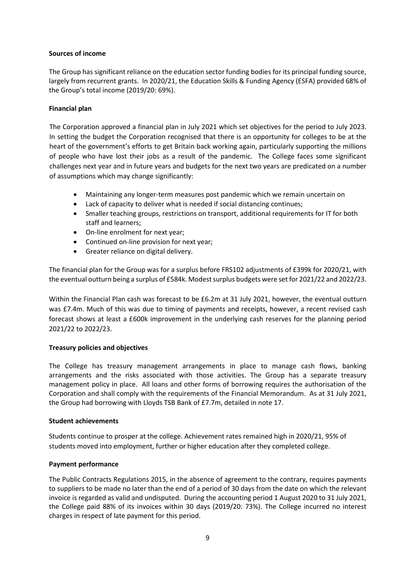#### **Sources of income**

The Group has significant reliance on the education sector funding bodies for its principal funding source, largely from recurrent grants. In 2020/21, the Education Skills & Funding Agency (ESFA) provided 68% of the Group's total income (2019/20: 69%).

## **Financial plan**

The Corporation approved a financial plan in July 2021 which set objectives for the period to July 2023. In setting the budget the Corporation recognised that there is an opportunity for colleges to be at the heart of the government's efforts to get Britain back working again, particularly supporting the millions of people who have lost their jobs as a result of the pandemic. The College faces some significant challenges next year and in future years and budgets for the next two years are predicated on a number of assumptions which may change significantly:

- Maintaining any longer-term measures post pandemic which we remain uncertain on
- Lack of capacity to deliver what is needed if social distancing continues;
- Smaller teaching groups, restrictions on transport, additional requirements for IT for both staff and learners;
- On-line enrolment for next year;
- Continued on-line provision for next year;
- Greater reliance on digital delivery.

The financial plan for the Group was for a surplus before FRS102 adjustments of £399k for 2020/21, with the eventual outturn being a surplus of £584k. Modest surplus budgets were set for 2021/22 and 2022/23.

Within the Financial Plan cash was forecast to be £6.2m at 31 July 2021, however, the eventual outturn was £7.4m. Much of this was due to timing of payments and receipts, however, a recent revised cash forecast shows at least a £600k improvement in the underlying cash reserves for the planning period 2021/22 to 2022/23.

## **Treasury policies and objectives**

The College has treasury management arrangements in place to manage cash flows, banking arrangements and the risks associated with those activities. The Group has a separate treasury management policy in place. All loans and other forms of borrowing requires the authorisation of the Corporation and shall comply with the requirements of the Financial Memorandum. As at 31 July 2021, the Group had borrowing with Lloyds TSB Bank of £7.7m, detailed in note 17.

#### **Student achievements**

Students continue to prosper at the college. Achievement rates remained high in 2020/21, 95% of students moved into employment, further or higher education after they completed college.

#### **Payment performance**

The Public Contracts Regulations 2015, in the absence of agreement to the contrary, requires payments to suppliers to be made no later than the end of a period of 30 days from the date on which the relevant invoice is regarded as valid and undisputed. During the accounting period 1 August 2020 to 31 July 2021, the College paid 88% of its invoices within 30 days (2019/20: 73%). The College incurred no interest charges in respect of late payment for this period.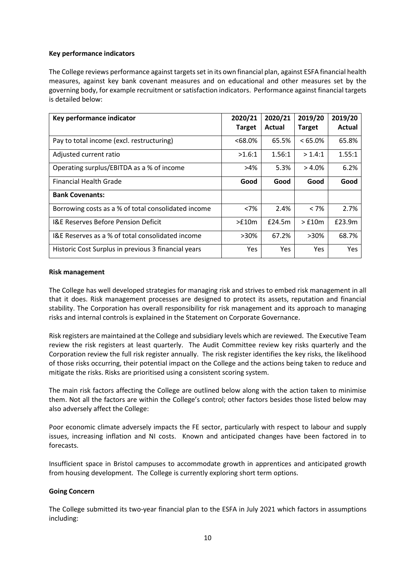## **Key performance indicators**

The College reviews performance against targets set in its own financial plan, against ESFA financial health measures, against key bank covenant measures and on educational and other measures set by the governing body, for example recruitment or satisfaction indicators. Performance against financial targets is detailed below:

| Key performance indicator                           | 2020/21<br><b>Target</b> | 2020/21<br>Actual | 2019/20<br><b>Target</b> | 2019/20<br><b>Actual</b> |
|-----------------------------------------------------|--------------------------|-------------------|--------------------------|--------------------------|
| Pay to total income (excl. restructuring)           | $<68.0\%$                | 65.5%             | $< 65.0\%$               | 65.8%                    |
| Adjusted current ratio                              | >1.6:1                   | 1.56:1            | > 1.4:1                  | 1.55:1                   |
| Operating surplus/EBITDA as a % of income           | $>4\%$                   | 5.3%              | $> 4.0\%$                | 6.2%                     |
| Financial Health Grade                              | Good                     | Good              | Good                     | Good                     |
| <b>Bank Covenants:</b>                              |                          |                   |                          |                          |
| Borrowing costs as a % of total consolidated income | <7%                      | 2.4%              | $< 7\%$                  | 2.7%                     |
| <b>I&amp;E Reserves Before Pension Deficit</b>      | >£10m                    | £24.5m            | $>$ £10 $m$              | £23.9m                   |
| I&E Reserves as a % of total consolidated income    | $>30\%$                  | 67.2%             | >30%                     | 68.7%                    |
| Historic Cost Surplus in previous 3 financial years | Yes                      | Yes               | <b>Yes</b>               | Yes                      |

#### **Risk management**

The College has well developed strategies for managing risk and strives to embed risk management in all that it does. Risk management processes are designed to protect its assets, reputation and financial stability. The Corporation has overall responsibility for risk management and its approach to managing risks and internal controls is explained in the Statement on Corporate Governance.

Risk registers are maintained at the College and subsidiary levels which are reviewed. The Executive Team review the risk registers at least quarterly. The Audit Committee review key risks quarterly and the Corporation review the full risk register annually. The risk register identifies the key risks, the likelihood of those risks occurring, their potential impact on the College and the actions being taken to reduce and mitigate the risks. Risks are prioritised using a consistent scoring system.

The main risk factors affecting the College are outlined below along with the action taken to minimise them. Not all the factors are within the College's control; other factors besides those listed below may also adversely affect the College:

Poor economic climate adversely impacts the FE sector, particularly with respect to labour and supply issues, increasing inflation and NI costs. Known and anticipated changes have been factored in to forecasts.

Insufficient space in Bristol campuses to accommodate growth in apprentices and anticipated growth from housing development. The College is currently exploring short term options.

#### **Going Concern**

The College submitted its two-year financial plan to the ESFA in July 2021 which factors in assumptions including: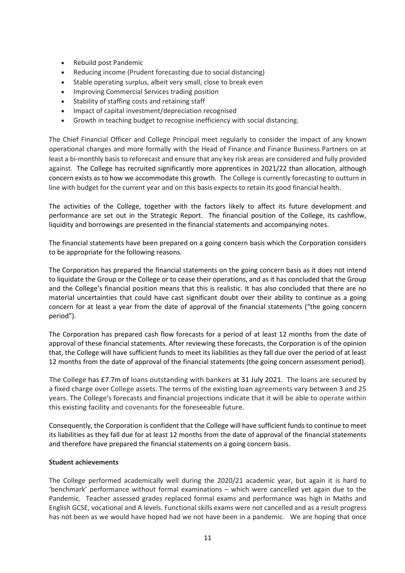- Rebuild post Pandemic
- Reducing income (Prudent forecasting due to social distancing)
- Stable operating surplus, albeit very small, close to break even
- Improving Commercial Services trading position
- Stability of staffing costs and retaining staff
- Impact of capital investment/depreciation recognised
- Growth in teaching budget to recognise inefficiency with social distancing.

The Chief Financial Officer and College Principal meet regularly to consider the impact of any known operational changes and more formally with the Head of Finance and Finance Business Partners on at least a bi-monthly basis to reforecast and ensure that any key risk areas are considered and fully provided against. The College has recruited significantly more apprentices in 2021/22 than allocation, although concern exists as to how we accommodate this growth. The College is currently forecasting to outturn in line with budget for the current year and on this basis expects to retain its good financial health.

The activities of the College, together with the factors likely to affect its future development and performance are set out in the Strategic Report. The financial position of the College, its cashflow, liquidity and borrowings are presented in the financial statements and accompanying notes.

The financial statements have been prepared on a going concern basis which the Corporation considers to be appropriate for the following reasons.

The Corporation has prepared the financial statements on the going concern basis as it does not intend to liquidate the Group or the College or to cease their operations, and as it has concluded that the Group and the College's financial position means that this is realistic. It has also concluded that there are no material uncertainties that could have cast significant doubt over their ability to continue as a going concern for at least a year from the date of approval of the financial statements ("the going concern period").

The Corporation has prepared cash flow forecasts for a period of at least 12 months from the date of approval of these financial statements. After reviewing these forecasts, the Corporation is of the opinion that, the College will have sufficient funds to meet its liabilities as they fall due over the period of at least 12 months from the date of approval of the financial statements (the going concern assessment period).

The College has £7.7m of loans outstanding with bankers at 31 July 2021. The loans are secured by a fixed charge over College assets. The terms of the existing loan agreements vary between 3 and 25 years. The College's forecasts and financial projections indicate that it will be able to operate within this existing facility and covenants for the foreseeable future.

Consequently, the Corporation is confident that the College will have sufficient funds to continue to meet its liabilities as they fall due for at least 12 months from the date of approval of the financial statements and therefore have prepared the financial statements on a going concern basis.

## **Student achievements**

The College performed academically well during the 2020/21 academic year, but again it is hard to 'benchmark' performance without formal examinations – which were cancelled yet again due to the Pandemic. Teacher assessed grades replaced formal exams and performance was high in Maths and English GCSE, vocational and A levels. Functional skills exams were not cancelled and as a result progress has not been as we would have hoped had we not have been in a pandemic. We are hoping that once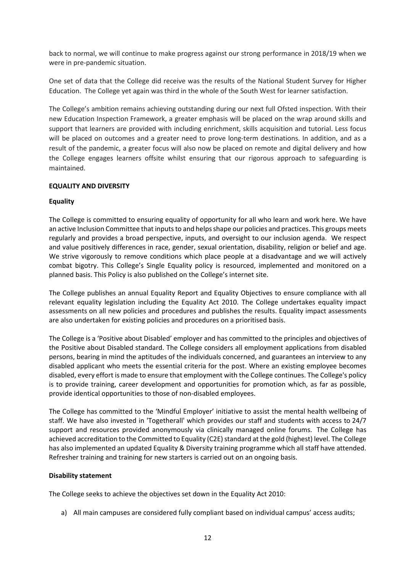back to normal, we will continue to make progress against our strong performance in 2018/19 when we were in pre-pandemic situation.

One set of data that the College did receive was the results of the National Student Survey for Higher Education. The College yet again was third in the whole of the South West for learner satisfaction.

The College's ambition remains achieving outstanding during our next full Ofsted inspection. With their new Education Inspection Framework, a greater emphasis will be placed on the wrap around skills and support that learners are provided with including enrichment, skills acquisition and tutorial. Less focus will be placed on outcomes and a greater need to prove long-term destinations. In addition, and as a result of the pandemic, a greater focus will also now be placed on remote and digital delivery and how the College engages learners offsite whilst ensuring that our rigorous approach to safeguarding is maintained.

## **EQUALITY AND DIVERSITY**

## **Equality**

The College is committed to ensuring equality of opportunity for all who learn and work here. We have an active Inclusion Committee that inputs to and helps shape our policies and practices. This groups meets regularly and provides a broad perspective, inputs, and oversight to our inclusion agenda. We respect and value positively differences in race, gender, sexual orientation, disability, religion or belief and age. We strive vigorously to remove conditions which place people at a disadvantage and we will actively combat bigotry. This College's Single Equality policy is resourced, implemented and monitored on a planned basis. This Policy is also published on the College's internet site.

The College publishes an annual Equality Report and Equality Objectives to ensure compliance with all relevant equality legislation including the Equality Act 2010. The College undertakes equality impact assessments on all new policies and procedures and publishes the results. Equality impact assessments are also undertaken for existing policies and procedures on a prioritised basis.

The College is a 'Positive about Disabled' employer and has committed to the principles and objectives of the Positive about Disabled standard. The College considers all employment applications from disabled persons, bearing in mind the aptitudes of the individuals concerned, and guarantees an interview to any disabled applicant who meets the essential criteria for the post. Where an existing employee becomes disabled, every effort is made to ensure that employment with the College continues. The College's policy is to provide training, career development and opportunities for promotion which, as far as possible, provide identical opportunities to those of non-disabled employees.

The College has committed to the 'Mindful Employer' initiative to assist the mental health wellbeing of staff. We have also invested in 'Togetherall' which provides our staff and students with access to 24/7 support and resources provided anonymously via clinically managed online forums. The College has achieved accreditation to the Committed to Equality (C2E) standard at the gold (highest) level. The College has also implemented an updated Equality & Diversity training programme which all staff have attended. Refresher training and training for new starters is carried out on an ongoing basis.

#### **Disability statement**

The College seeks to achieve the objectives set down in the Equality Act 2010:

a) All main campuses are considered fully compliant based on individual campus' access audits;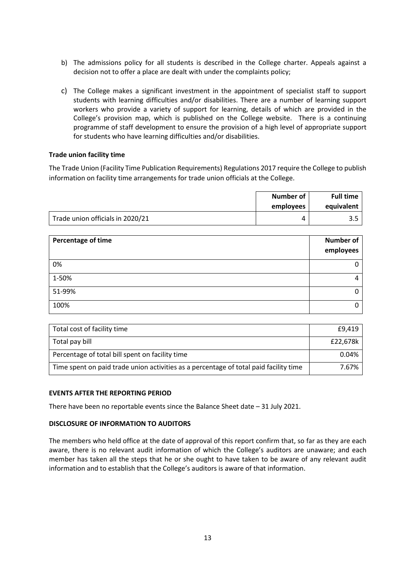- b) The admissions policy for all students is described in the College charter. Appeals against a decision not to offer a place are dealt with under the complaints policy;
- c) The College makes a significant investment in the appointment of specialist staff to support students with learning difficulties and/or disabilities. There are a number of learning support workers who provide a variety of support for learning, details of which are provided in the College's provision map, which is published on the College website. There is a continuing programme of staff development to ensure the provision of a high level of appropriate support for students who have learning difficulties and/or disabilities.

#### **Trade union facility time**

The Trade Union (Facility Time Publication Requirements) Regulations 2017 require the College to publish information on facility time arrangements for trade union officials at the College.

|                                  | Number of<br>employees | <b>Full time</b><br>equivalent |
|----------------------------------|------------------------|--------------------------------|
| Trade union officials in 2020/21 | 4                      |                                |

| Percentage of time | <b>Number of</b><br>employees |
|--------------------|-------------------------------|
| 0%                 | 0                             |
| 1-50%              | 4                             |
| 51-99%             | 0                             |
| 100%               | $\mathbf{0}$                  |

| Total cost of facility time                                                           | £9,419   |
|---------------------------------------------------------------------------------------|----------|
| Total pay bill                                                                        | £22,678k |
| Percentage of total bill spent on facility time                                       | 0.04%    |
| Time spent on paid trade union activities as a percentage of total paid facility time | 7.67%    |

#### **EVENTS AFTER THE REPORTING PERIOD**

There have been no reportable events since the Balance Sheet date – 31 July 2021.

#### **DISCLOSURE OF INFORMATION TO AUDITORS**

The members who held office at the date of approval of this report confirm that, so far as they are each aware, there is no relevant audit information of which the College's auditors are unaware; and each member has taken all the steps that he or she ought to have taken to be aware of any relevant audit information and to establish that the College's auditors is aware of that information.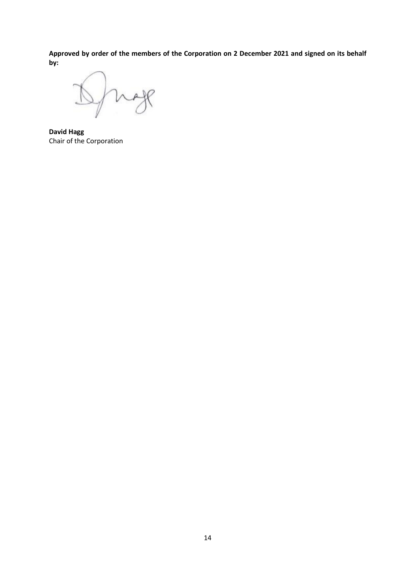**Approved by order of the members of the Corporation on 2 December 2021 and signed on its behalf by:**

 $R$  $\rightarrow$ V

**David Hagg** Chair of the Corporation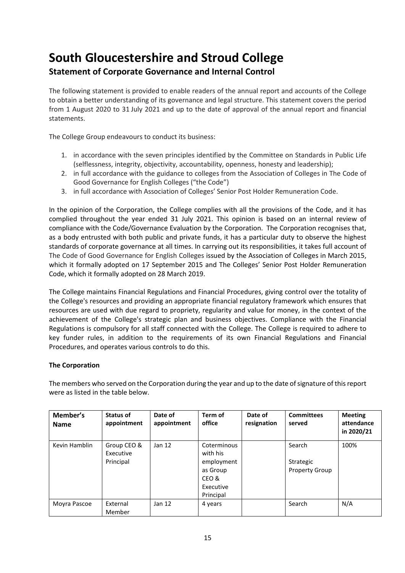# **Statement of Corporate Governance and Internal Control**

The following statement is provided to enable readers of the annual report and accounts of the College to obtain a better understanding of its governance and legal structure. This statement covers the period from 1 August 2020 to 31 July 2021 and up to the date of approval of the annual report and financial statements.

The College Group endeavours to conduct its business:

- 1. in accordance with the seven principles identified by the Committee on Standards in Public Life (selflessness, integrity, objectivity, accountability, openness, honesty and leadership);
- 2. in full accordance with the guidance to colleges from the Association of Colleges in The Code of Good Governance for English Colleges ("the Code")
- 3. in full accordance with Association of Colleges' Senior Post Holder Remuneration Code.

In the opinion of the Corporation, the College complies with all the provisions of the Code, and it has complied throughout the year ended 31 July 2021. This opinion is based on an internal review of compliance with the Code/Governance Evaluation by the Corporation. The Corporation recognises that, as a body entrusted with both public and private funds, it has a particular duty to observe the highest standards of corporate governance at all times. In carrying out its responsibilities, it takes full account of The Code of Good Governance for English Colleges issued by the Association of Colleges in March 2015, which it formally adopted on 17 September 2015 and The Colleges' Senior Post Holder Remuneration Code, which it formally adopted on 28 March 2019.

The College maintains Financial Regulations and Financial Procedures, giving control over the totality of the College's resources and providing an appropriate financial regulatory framework which ensures that resources are used with due regard to propriety, regularity and value for money, in the context of the achievement of the College's strategic plan and business objectives. Compliance with the Financial Regulations is compulsory for all staff connected with the College. The College is required to adhere to key funder rules, in addition to the requirements of its own Financial Regulations and Financial Procedures, and operates various controls to do this.

## **The Corporation**

The members who served on the Corporation during the year and up to the date of signature of this report were as listed in the table below.

| Member's<br><b>Name</b> | Status of<br>appointment              | Date of<br>appointment | Term of<br>office                                                                    | Date of<br>resignation | <b>Committees</b><br>served                  | <b>Meeting</b><br>attendance<br>in 2020/21 |
|-------------------------|---------------------------------------|------------------------|--------------------------------------------------------------------------------------|------------------------|----------------------------------------------|--------------------------------------------|
| Kevin Hamblin           | Group CEO &<br>Executive<br>Principal | Jan $12$               | Coterminous<br>with his<br>employment<br>as Group<br>CEO &<br>Executive<br>Principal |                        | Search<br>Strategic<br><b>Property Group</b> | 100%                                       |
| Moyra Pascoe            | External<br>Member                    | Jan $12$               | 4 years                                                                              |                        | Search                                       | N/A                                        |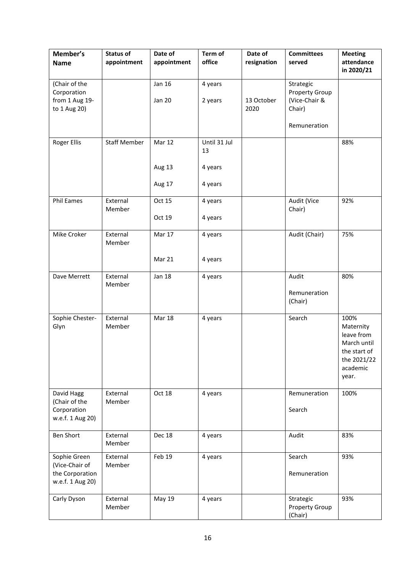| Member's<br><b>Name</b>                                               | <b>Status of</b><br>appointment | Date of<br>appointment            | Term of<br>office                        | Date of<br>resignation | <b>Committees</b><br>served                                            | <b>Meeting</b><br>attendance<br>in 2020/21                                                         |
|-----------------------------------------------------------------------|---------------------------------|-----------------------------------|------------------------------------------|------------------------|------------------------------------------------------------------------|----------------------------------------------------------------------------------------------------|
| (Chair of the<br>Corporation<br>from 1 Aug 19-<br>to 1 Aug 20)        |                                 | <b>Jan 16</b><br><b>Jan 20</b>    | 4 years<br>2 years                       | 13 October<br>2020     | Strategic<br>Property Group<br>(Vice-Chair &<br>Chair)<br>Remuneration |                                                                                                    |
| <b>Roger Ellis</b>                                                    | <b>Staff Member</b>             | <b>Mar 12</b><br>Aug 13<br>Aug 17 | Until 31 Jul<br>13<br>4 years<br>4 years |                        |                                                                        | 88%                                                                                                |
| Phil Eames                                                            | External<br>Member              | Oct 15<br>Oct 19                  | 4 years<br>4 years                       |                        | Audit (Vice<br>Chair)                                                  | 92%                                                                                                |
| Mike Croker                                                           | External<br>Member              | Mar 17<br>Mar 21                  | 4 years<br>4 years                       |                        | Audit (Chair)                                                          | 75%                                                                                                |
| Dave Merrett                                                          | External<br>Member              | <b>Jan 18</b>                     | 4 years                                  |                        | Audit<br>Remuneration<br>(Chair)                                       | 80%                                                                                                |
| Sophie Chester-<br>Glyn                                               | External<br>Member              | Mar 18                            | 4 years                                  |                        | Search                                                                 | 100%<br>Maternity<br>leave from<br>March until<br>the start of<br>the 2021/22<br>academic<br>year. |
| David Hagg<br>(Chair of the<br>Corporation<br>w.e.f. 1 Aug 20)        | External<br>Member              | Oct 18                            | 4 years                                  |                        | Remuneration<br>Search                                                 | 100%                                                                                               |
| <b>Ben Short</b>                                                      | External<br>Member              | Dec 18                            | 4 years                                  |                        | Audit                                                                  | 83%                                                                                                |
| Sophie Green<br>(Vice-Chair of<br>the Corporation<br>w.e.f. 1 Aug 20) | External<br>Member              | Feb 19                            | 4 years                                  |                        | Search<br>Remuneration                                                 | 93%                                                                                                |
| Carly Dyson                                                           | External<br>Member              | May 19                            | 4 years                                  |                        | Strategic<br>Property Group<br>(Chair)                                 | 93%                                                                                                |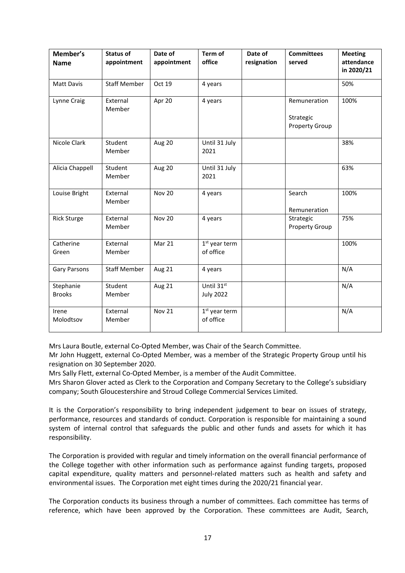| Member's<br><b>Name</b>    | <b>Status of</b><br>appointment | Date of<br>appointment | Term of<br>office                      | Date of<br>resignation | <b>Committees</b><br>served                        | <b>Meeting</b><br>attendance<br>in 2020/21 |
|----------------------------|---------------------------------|------------------------|----------------------------------------|------------------------|----------------------------------------------------|--------------------------------------------|
| <b>Matt Davis</b>          | <b>Staff Member</b>             | Oct 19                 | 4 years                                |                        |                                                    | 50%                                        |
| Lynne Craig                | External<br>Member              | Apr 20                 | 4 years                                |                        | Remuneration<br>Strategic<br><b>Property Group</b> | 100%                                       |
| Nicole Clark               | Student<br>Member               | Aug 20                 | Until 31 July<br>2021                  |                        |                                                    | 38%                                        |
| Alicia Chappell            | Student<br>Member               | Aug 20                 | Until 31 July<br>2021                  |                        |                                                    | 63%                                        |
| Louise Bright              | External<br>Member              | <b>Nov 20</b>          | 4 years                                |                        | Search<br>Remuneration                             | 100%                                       |
| <b>Rick Sturge</b>         | External<br>Member              | <b>Nov 20</b>          | 4 years                                |                        | Strategic<br><b>Property Group</b>                 | 75%                                        |
| Catherine<br>Green         | External<br>Member              | Mar 21                 | 1 <sup>st</sup> year term<br>of office |                        |                                                    | 100%                                       |
| <b>Gary Parsons</b>        | <b>Staff Member</b>             | Aug 21                 | 4 years                                |                        |                                                    | N/A                                        |
| Stephanie<br><b>Brooks</b> | Student<br>Member               | Aug 21                 | Until 31st<br><b>July 2022</b>         |                        |                                                    | N/A                                        |
| Irene<br>Molodtsov         | External<br>Member              | <b>Nov 21</b>          | $1st$ year term<br>of office           |                        |                                                    | N/A                                        |

Mrs Laura Boutle, external Co-Opted Member, was Chair of the Search Committee.

Mr John Huggett, external Co-Opted Member, was a member of the Strategic Property Group until his resignation on 30 September 2020.

Mrs Sally Flett, external Co-Opted Member, is a member of the Audit Committee.

Mrs Sharon Glover acted as Clerk to the Corporation and Company Secretary to the College's subsidiary company; South Gloucestershire and Stroud College Commercial Services Limited.

It is the Corporation's responsibility to bring independent judgement to bear on issues of strategy, performance, resources and standards of conduct. Corporation is responsible for maintaining a sound system of internal control that safeguards the public and other funds and assets for which it has responsibility.

The Corporation is provided with regular and timely information on the overall financial performance of the College together with other information such as performance against funding targets, proposed capital expenditure, quality matters and personnel-related matters such as health and safety and environmental issues. The Corporation met eight times during the 2020/21 financial year.

The Corporation conducts its business through a number of committees. Each committee has terms of reference, which have been approved by the Corporation. These committees are Audit, Search,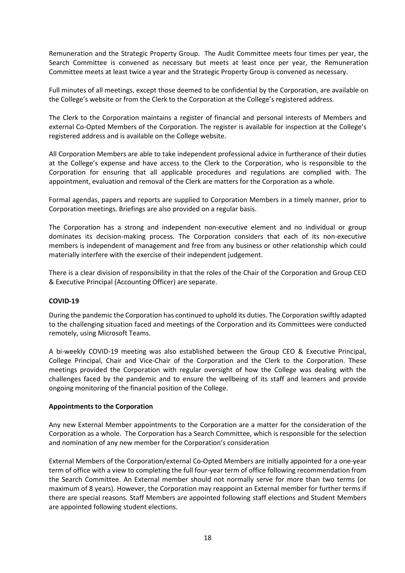Remuneration and the Strategic Property Group. The Audit Committee meets four times per year, the Search Committee is convened as necessary but meets at least once per year, the Remuneration Committee meets at least twice a year and the Strategic Property Group is convened as necessary.

Full minutes of all meetings, except those deemed to be confidential by the Corporation, are available on the College's website or from the Clerk to the Corporation at the College's registered address.

The Clerk to the Corporation maintains a register of financial and personal interests of Members and external Co-Opted Members of the Corporation. The register is available for inspection at the College's registered address and is available on the College website.

All Corporation Members are able to take independent professional advice in furtherance of their duties at the College's expense and have access to the Clerk to the Corporation, who is responsible to the Corporation for ensuring that all applicable procedures and regulations are complied with. The appointment, evaluation and removal of the Clerk are matters for the Corporation as a whole.

Formal agendas, papers and reports are supplied to Corporation Members in a timely manner, prior to Corporation meetings. Briefings are also provided on a regular basis.

The Corporation has a strong and independent non-executive element and no individual or group dominates its decision-making process. The Corporation considers that each of its non-executive members is independent of management and free from any business or other relationship which could materially interfere with the exercise of their independent judgement.

There is a clear division of responsibility in that the roles of the Chair of the Corporation and Group CEO & Executive Principal (Accounting Officer) are separate.

#### **COVID-19**

During the pandemic the Corporation has continued to uphold its duties. The Corporation swiftly adapted to the challenging situation faced and meetings of the Corporation and its Committees were conducted remotely, using Microsoft Teams.

A bi-weekly COVID-19 meeting was also established between the Group CEO & Executive Principal, College Principal, Chair and Vice-Chair of the Corporation and the Clerk to the Corporation. These meetings provided the Corporation with regular oversight of how the College was dealing with the challenges faced by the pandemic and to ensure the wellbeing of its staff and learners and provide ongoing monitoring of the financial position of the College.

#### **Appointments to the Corporation**

Any new External Member appointments to the Corporation are a matter for the consideration of the Corporation as a whole. The Corporation has a Search Committee, which is responsible for the selection and nomination of any new member for the Corporation's consideration

External Members of the Corporation/external Co-Opted Members are initially appointed for a one-year term of office with a view to completing the full four-year term of office following recommendation from the Search Committee. An External member should not normally serve for more than two terms (or maximum of 8 years). However, the Corporation may reappoint an External member for further terms if there are special reasons. Staff Members are appointed following staff elections and Student Members are appointed following student elections.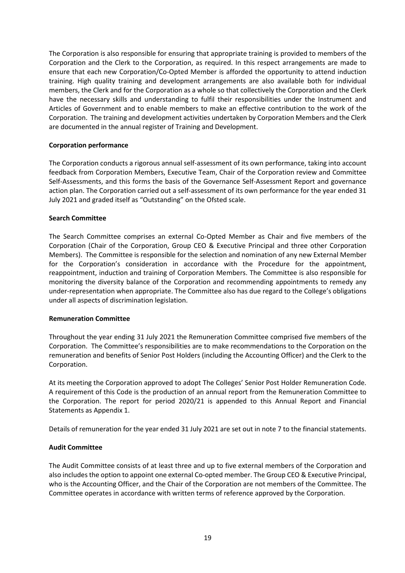The Corporation is also responsible for ensuring that appropriate training is provided to members of the Corporation and the Clerk to the Corporation, as required. In this respect arrangements are made to ensure that each new Corporation/Co-Opted Member is afforded the opportunity to attend induction training. High quality training and development arrangements are also available both for individual members, the Clerk and for the Corporation as a whole so that collectively the Corporation and the Clerk have the necessary skills and understanding to fulfil their responsibilities under the Instrument and Articles of Government and to enable members to make an effective contribution to the work of the Corporation. The training and development activities undertaken by Corporation Members and the Clerk are documented in the annual register of Training and Development.

#### **Corporation performance**

The Corporation conducts a rigorous annual self-assessment of its own performance, taking into account feedback from Corporation Members, Executive Team, Chair of the Corporation review and Committee Self-Assessments, and this forms the basis of the Governance Self-Assessment Report and governance action plan. The Corporation carried out a self-assessment of its own performance for the year ended 31 July 2021 and graded itself as "Outstanding" on the Ofsted scale.

#### **Search Committee**

The Search Committee comprises an external Co-Opted Member as Chair and five members of the Corporation (Chair of the Corporation, Group CEO & Executive Principal and three other Corporation Members). The Committee is responsible for the selection and nomination of any new External Member for the Corporation's consideration in accordance with the Procedure for the appointment, reappointment, induction and training of Corporation Members. The Committee is also responsible for monitoring the diversity balance of the Corporation and recommending appointments to remedy any under-representation when appropriate. The Committee also has due regard to the College's obligations under all aspects of discrimination legislation.

#### **Remuneration Committee**

Throughout the year ending 31 July 2021 the Remuneration Committee comprised five members of the Corporation. The Committee's responsibilities are to make recommendations to the Corporation on the remuneration and benefits of Senior Post Holders (including the Accounting Officer) and the Clerk to the Corporation.

At its meeting the Corporation approved to adopt The Colleges' Senior Post Holder Remuneration Code. A requirement of this Code is the production of an annual report from the Remuneration Committee to the Corporation. The report for period 2020/21 is appended to this Annual Report and Financial Statements as Appendix 1.

Details of remuneration for the year ended 31 July 2021 are set out in note 7 to the financial statements.

## **Audit Committee**

The Audit Committee consists of at least three and up to five external members of the Corporation and also includes the option to appoint one external Co-opted member. The Group CEO & Executive Principal, who is the Accounting Officer, and the Chair of the Corporation are not members of the Committee. The Committee operates in accordance with written terms of reference approved by the Corporation.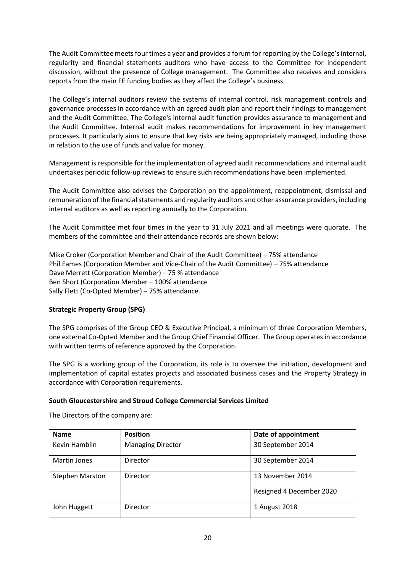The Audit Committee meets four times a year and provides a forum for reporting by the College's internal, regularity and financial statements auditors who have access to the Committee for independent discussion, without the presence of College management. The Committee also receives and considers reports from the main FE funding bodies as they affect the College's business.

The College's internal auditors review the systems of internal control, risk management controls and governance processes in accordance with an agreed audit plan and report their findings to management and the Audit Committee. The College's internal audit function provides assurance to management and the Audit Committee. Internal audit makes recommendations for improvement in key management processes. It particularly aims to ensure that key risks are being appropriately managed, including those in relation to the use of funds and value for money.

Management is responsible for the implementation of agreed audit recommendations and internal audit undertakes periodic follow-up reviews to ensure such recommendations have been implemented.

The Audit Committee also advises the Corporation on the appointment, reappointment, dismissal and remuneration of the financial statements and regularity auditors and other assurance providers, including internal auditors as well as reporting annually to the Corporation.

The Audit Committee met four times in the year to 31 July 2021 and all meetings were quorate. The members of the committee and their attendance records are shown below:

Mike Croker (Corporation Member and Chair of the Audit Committee) – 75% attendance Phil Eames (Corporation Member and Vice-Chair of the Audit Committee) – 75% attendance Dave Merrett (Corporation Member) – 75 % attendance Ben Short (Corporation Member – 100% attendance Sally Flett (Co-Opted Member) – 75% attendance.

## **Strategic Property Group (SPG)**

The SPG comprises of the Group CEO & Executive Principal, a minimum of three Corporation Members, one external Co-Opted Member and the Group Chief Financial Officer. The Group operates in accordance with written terms of reference approved by the Corporation.

The SPG is a working group of the Corporation, its role is to oversee the initiation, development and implementation of capital estates projects and associated business cases and the Property Strategy in accordance with Corporation requirements.

#### **South Gloucestershire and Stroud College Commercial Services Limited**

The Directors of the company are:

| <b>Name</b>            | <b>Position</b>          | Date of appointment      |
|------------------------|--------------------------|--------------------------|
| Kevin Hamblin          | <b>Managing Director</b> | 30 September 2014        |
| Martin Jones           | Director                 | 30 September 2014        |
| <b>Stephen Marston</b> | Director                 | 13 November 2014         |
|                        |                          | Resigned 4 December 2020 |
| John Huggett           | Director                 | 1 August 2018            |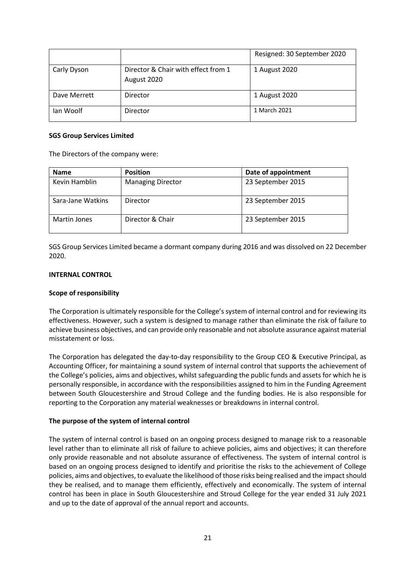|              |                                                    | Resigned: 30 September 2020 |
|--------------|----------------------------------------------------|-----------------------------|
| Carly Dyson  | Director & Chair with effect from 1<br>August 2020 | 1 August 2020               |
| Dave Merrett | Director                                           | 1 August 2020               |
| Ian Woolf    | Director                                           | 1 March 2021                |

#### **SGS Group Services Limited**

The Directors of the company were:

| <b>Name</b>       | <b>Position</b>          | Date of appointment |
|-------------------|--------------------------|---------------------|
| Kevin Hamblin     | <b>Managing Director</b> | 23 September 2015   |
| Sara-Jane Watkins | Director                 | 23 September 2015   |
| Martin Jones      | Director & Chair         | 23 September 2015   |

SGS Group Services Limited became a dormant company during 2016 and was dissolved on 22 December 2020.

#### **INTERNAL CONTROL**

#### **Scope of responsibility**

The Corporation is ultimately responsible for the College's system of internal control and for reviewing its effectiveness. However, such a system is designed to manage rather than eliminate the risk of failure to achieve business objectives, and can provide only reasonable and not absolute assurance against material misstatement or loss.

The Corporation has delegated the day-to-day responsibility to the Group CEO & Executive Principal, as Accounting Officer, for maintaining a sound system of internal control that supports the achievement of the College's policies, aims and objectives, whilst safeguarding the public funds and assets for which he is personally responsible, in accordance with the responsibilities assigned to him in the Funding Agreement between South Gloucestershire and Stroud College and the funding bodies. He is also responsible for reporting to the Corporation any material weaknesses or breakdowns in internal control.

#### **The purpose of the system of internal control**

The system of internal control is based on an ongoing process designed to manage risk to a reasonable level rather than to eliminate all risk of failure to achieve policies, aims and objectives; it can therefore only provide reasonable and not absolute assurance of effectiveness. The system of internal control is based on an ongoing process designed to identify and prioritise the risks to the achievement of College policies, aims and objectives, to evaluate the likelihood of those risks being realised and the impact should they be realised, and to manage them efficiently, effectively and economically. The system of internal control has been in place in South Gloucestershire and Stroud College for the year ended 31 July 2021 and up to the date of approval of the annual report and accounts.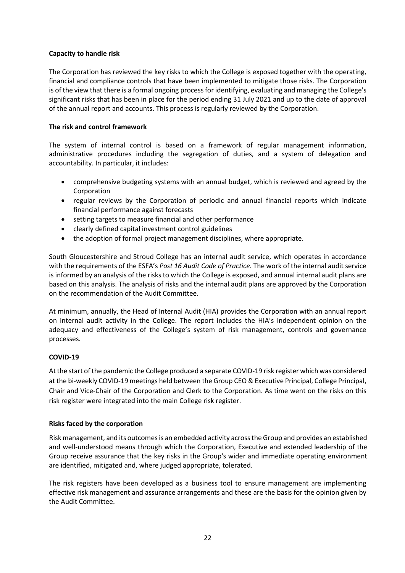## **Capacity to handle risk**

The Corporation has reviewed the key risks to which the College is exposed together with the operating, financial and compliance controls that have been implemented to mitigate those risks. The Corporation is of the view that there is a formal ongoing process for identifying, evaluating and managing the College's significant risks that has been in place for the period ending 31 July 2021 and up to the date of approval of the annual report and accounts. This process is regularly reviewed by the Corporation.

## **The risk and control framework**

The system of internal control is based on a framework of regular management information, administrative procedures including the segregation of duties, and a system of delegation and accountability. In particular, it includes:

- comprehensive budgeting systems with an annual budget, which is reviewed and agreed by the Corporation
- regular reviews by the Corporation of periodic and annual financial reports which indicate financial performance against forecasts
- setting targets to measure financial and other performance
- clearly defined capital investment control guidelines
- the adoption of formal project management disciplines, where appropriate.

South Gloucestershire and Stroud College has an internal audit service, which operates in accordance with the requirements of the ESFA's *Post 16 Audit Code of Practice*. The work of the internal audit service is informed by an analysis of the risks to which the College is exposed, and annual internal audit plans are based on this analysis. The analysis of risks and the internal audit plans are approved by the Corporation on the recommendation of the Audit Committee.

At minimum, annually, the Head of Internal Audit (HIA) provides the Corporation with an annual report on internal audit activity in the College. The report includes the HIA's independent opinion on the adequacy and effectiveness of the College's system of risk management, controls and governance processes.

## **COVID-19**

At the start of the pandemic the College produced a separate COVID-19 risk register which was considered at the bi-weekly COVID-19 meetings held between the Group CEO & Executive Principal, College Principal, Chair and Vice-Chair of the Corporation and Clerk to the Corporation. As time went on the risks on this risk register were integrated into the main College risk register.

#### **Risks faced by the corporation**

Risk management, and its outcomes is an embedded activity across the Group and provides an established and well-understood means through which the Corporation, Executive and extended leadership of the Group receive assurance that the key risks in the Group's wider and immediate operating environment are identified, mitigated and, where judged appropriate, tolerated.

The risk registers have been developed as a business tool to ensure management are implementing effective risk management and assurance arrangements and these are the basis for the opinion given by the Audit Committee.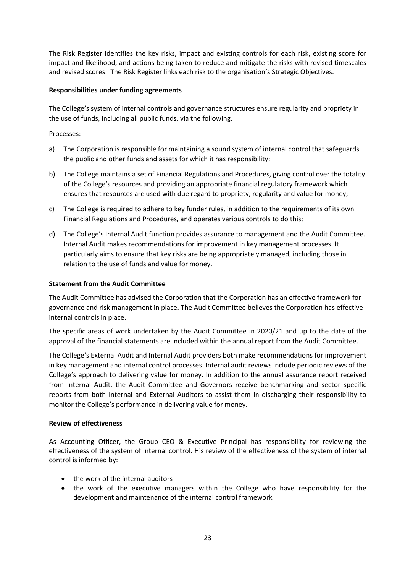The Risk Register identifies the key risks, impact and existing controls for each risk, existing score for impact and likelihood, and actions being taken to reduce and mitigate the risks with revised timescales and revised scores. The Risk Register links each risk to the organisation's Strategic Objectives.

## **Responsibilities under funding agreements**

The College's system of internal controls and governance structures ensure regularity and propriety in the use of funds, including all public funds, via the following.

## Processes:

- a) The Corporation is responsible for maintaining a sound system of internal control that safeguards the public and other funds and assets for which it has responsibility;
- b) The College maintains a set of Financial Regulations and Procedures, giving control over the totality of the College's resources and providing an appropriate financial regulatory framework which ensures that resources are used with due regard to propriety, regularity and value for money;
- c) The College is required to adhere to key funder rules, in addition to the requirements of its own Financial Regulations and Procedures, and operates various controls to do this;
- d) The College's Internal Audit function provides assurance to management and the Audit Committee. Internal Audit makes recommendations for improvement in key management processes. It particularly aims to ensure that key risks are being appropriately managed, including those in relation to the use of funds and value for money.

#### **Statement from the Audit Committee**

The Audit Committee has advised the Corporation that the Corporation has an effective framework for governance and risk management in place. The Audit Committee believes the Corporation has effective internal controls in place.

The specific areas of work undertaken by the Audit Committee in 2020/21 and up to the date of the approval of the financial statements are included within the annual report from the Audit Committee.

The College's External Audit and Internal Audit providers both make recommendations for improvement in key management and internal control processes. Internal audit reviews include periodic reviews of the College's approach to delivering value for money. In addition to the annual assurance report received from Internal Audit, the Audit Committee and Governors receive benchmarking and sector specific reports from both Internal and External Auditors to assist them in discharging their responsibility to monitor the College's performance in delivering value for money.

#### **Review of effectiveness**

As Accounting Officer, the Group CEO & Executive Principal has responsibility for reviewing the effectiveness of the system of internal control. His review of the effectiveness of the system of internal control is informed by:

- the work of the internal auditors
- the work of the executive managers within the College who have responsibility for the development and maintenance of the internal control framework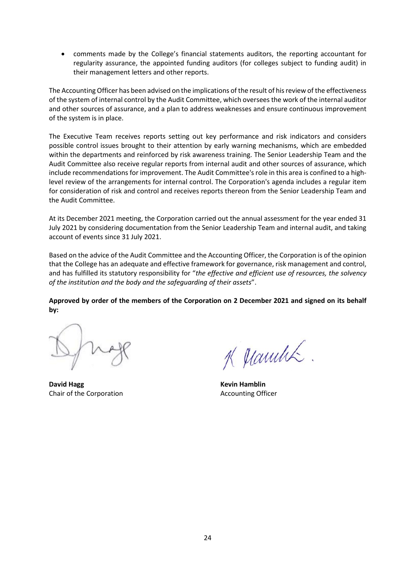• comments made by the College's financial statements auditors, the reporting accountant for regularity assurance, the appointed funding auditors (for colleges subject to funding audit) in their management letters and other reports.

The Accounting Officer has been advised on the implications of the result of his review of the effectiveness of the system of internal control by the Audit Committee, which oversees the work of the internal auditor and other sources of assurance, and a plan to address weaknesses and ensure continuous improvement of the system is in place.

The Executive Team receives reports setting out key performance and risk indicators and considers possible control issues brought to their attention by early warning mechanisms, which are embedded within the departments and reinforced by risk awareness training. The Senior Leadership Team and the Audit Committee also receive regular reports from internal audit and other sources of assurance, which include recommendations for improvement. The Audit Committee's role in this area is confined to a highlevel review of the arrangements for internal control. The Corporation's agenda includes a regular item for consideration of risk and control and receives reports thereon from the Senior Leadership Team and the Audit Committee.

At its December 2021 meeting, the Corporation carried out the annual assessment for the year ended 31 July 2021 by considering documentation from the Senior Leadership Team and internal audit, and taking account of events since 31 July 2021.

Based on the advice of the Audit Committee and the Accounting Officer, the Corporation is of the opinion that the College has an adequate and effective framework for governance, risk management and control, and has fulfilled its statutory responsibility for "*the effective and efficient use of resources, the solvency of the institution and the body and the safeguarding of their assets*".

**Approved by order of the members of the Corporation on 2 December 2021 and signed on its behalf by:**

**David Hagg Kevin Hamblin** Chair of the Corporation Chair of the Corporation

K Manulik.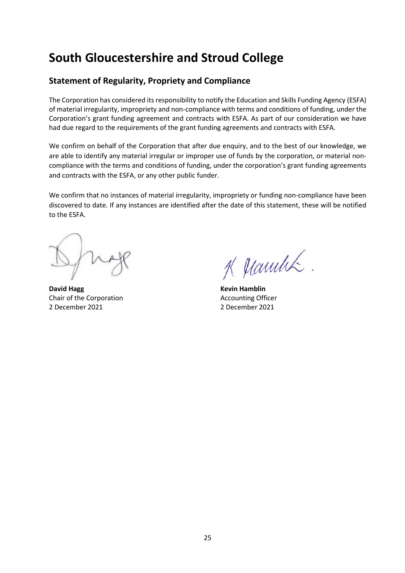# **Statement of Regularity, Propriety and Compliance**

The Corporation has considered its responsibility to notify the Education and Skills Funding Agency (ESFA) of material irregularity, impropriety and non-compliance with terms and conditions of funding, under the Corporation's grant funding agreement and contracts with ESFA. As part of our consideration we have had due regard to the requirements of the grant funding agreements and contracts with ESFA.

We confirm on behalf of the Corporation that after due enquiry, and to the best of our knowledge, we are able to identify any material irregular or improper use of funds by the corporation, or material noncompliance with the terms and conditions of funding, under the corporation's grant funding agreements and contracts with the ESFA, or any other public funder.

We confirm that no instances of material irregularity, impropriety or funding non-compliance have been discovered to date. If any instances are identified after the date of this statement, these will be notified to the ESFA.

**David Hagg Kevin Hamblin** Chair of the Corporation Chair of the Corporation 2 December 2021 2 December 2021

K Manulik.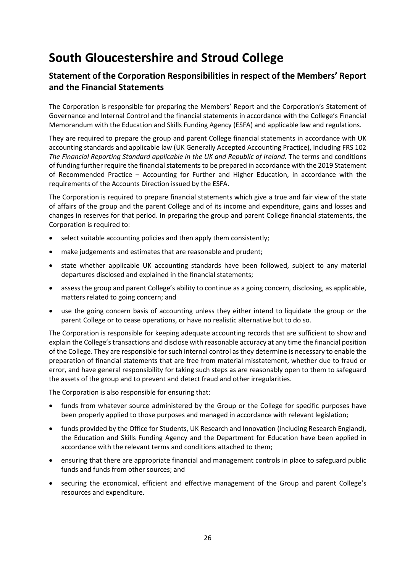# **Statement of the Corporation Responsibilities in respect of the Members' Report and the Financial Statements**

The Corporation is responsible for preparing the Members' Report and the Corporation's Statement of Governance and Internal Control and the financial statements in accordance with the College's Financial Memorandum with the Education and Skills Funding Agency (ESFA) and applicable law and regulations.

They are required to prepare the group and parent College financial statements in accordance with UK accounting standards and applicable law (UK Generally Accepted Accounting Practice), including FRS 102 *The Financial Reporting Standard applicable in the UK and Republic of Ireland.* The terms and conditions of funding further require the financial statements to be prepared in accordance with the 2019 Statement of Recommended Practice – Accounting for Further and Higher Education, in accordance with the requirements of the Accounts Direction issued by the ESFA.

The Corporation is required to prepare financial statements which give a true and fair view of the state of affairs of the group and the parent College and of its income and expenditure, gains and losses and changes in reserves for that period. In preparing the group and parent College financial statements, the Corporation is required to:

- select suitable accounting policies and then apply them consistently;
- make judgements and estimates that are reasonable and prudent;
- state whether applicable UK accounting standards have been followed, subject to any material departures disclosed and explained in the financial statements;
- assess the group and parent College's ability to continue as a going concern, disclosing, as applicable, matters related to going concern; and
- use the going concern basis of accounting unless they either intend to liquidate the group or the parent College or to cease operations, or have no realistic alternative but to do so.

The Corporation is responsible for keeping adequate accounting records that are sufficient to show and explain the College's transactions and disclose with reasonable accuracy at any time the financial position of the College. They are responsible for such internal control as they determine is necessary to enable the preparation of financial statements that are free from material misstatement, whether due to fraud or error, and have general responsibility for taking such steps as are reasonably open to them to safeguard the assets of the group and to prevent and detect fraud and other irregularities.

The Corporation is also responsible for ensuring that:

- funds from whatever source administered by the Group or the College for specific purposes have been properly applied to those purposes and managed in accordance with relevant legislation;
- funds provided by the Office for Students, UK Research and Innovation (including Research England), the Education and Skills Funding Agency and the Department for Education have been applied in accordance with the relevant terms and conditions attached to them;
- ensuring that there are appropriate financial and management controls in place to safeguard public funds and funds from other sources; and
- securing the economical, efficient and effective management of the Group and parent College's resources and expenditure.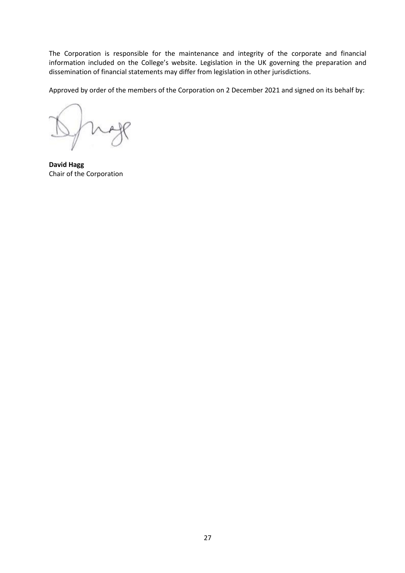The Corporation is responsible for the maintenance and integrity of the corporate and financial information included on the College's website. Legislation in the UK governing the preparation and dissemination of financial statements may differ from legislation in other jurisdictions.

Approved by order of the members of the Corporation on 2 December 2021 and signed on its behalf by:

**David Hagg**  Chair of the Corporation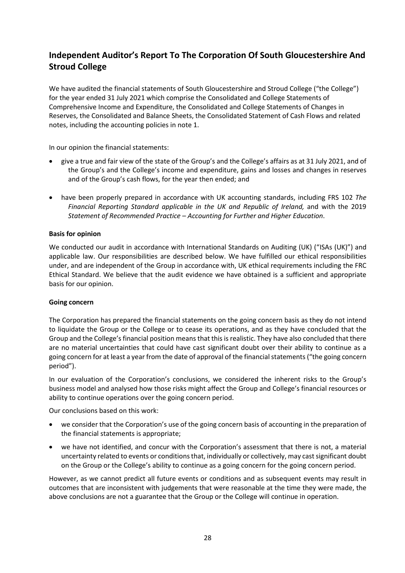# **Independent Auditor's Report To The Corporation Of South Gloucestershire And Stroud College**

We have audited the financial statements of South Gloucestershire and Stroud College ("the College") for the year ended 31 July 2021 which comprise the Consolidated and College Statements of Comprehensive Income and Expenditure, the Consolidated and College Statements of Changes in Reserves, the Consolidated and Balance Sheets, the Consolidated Statement of Cash Flows and related notes, including the accounting policies in note 1.

In our opinion the financial statements:

- give a true and fair view of the state of the Group's and the College's affairs as at 31 July 2021, and of the Group's and the College's income and expenditure, gains and losses and changes in reserves and of the Group's cash flows, for the year then ended; and
- have been properly prepared in accordance with UK accounting standards, including FRS 102 *The Financial Reporting Standard applicable in the UK and Republic of Ireland,* and with the 2019 *Statement of Recommended Practice – Accounting for Further and Higher Education*.

#### **Basis for opinion**

We conducted our audit in accordance with International Standards on Auditing (UK) ("ISAs (UK)") and applicable law. Our responsibilities are described below. We have fulfilled our ethical responsibilities under, and are independent of the Group in accordance with, UK ethical requirements including the FRC Ethical Standard. We believe that the audit evidence we have obtained is a sufficient and appropriate basis for our opinion.

#### **Going concern**

The Corporation has prepared the financial statements on the going concern basis as they do not intend to liquidate the Group or the College or to cease its operations, and as they have concluded that the Group and the College's financial position means that this is realistic. They have also concluded that there are no material uncertainties that could have cast significant doubt over their ability to continue as a going concern for at least a year from the date of approval of the financial statements ("the going concern period").

In our evaluation of the Corporation's conclusions, we considered the inherent risks to the Group's business model and analysed how those risks might affect the Group and College's financial resources or ability to continue operations over the going concern period.

Our conclusions based on this work:

- we consider that the Corporation's use of the going concern basis of accounting in the preparation of the financial statements is appropriate;
- we have not identified, and concur with the Corporation's assessment that there is not, a material uncertainty related to events or conditions that, individually or collectively, may cast significant doubt on the Group or the College's ability to continue as a going concern for the going concern period.

However, as we cannot predict all future events or conditions and as subsequent events may result in outcomes that are inconsistent with judgements that were reasonable at the time they were made, the above conclusions are not a guarantee that the Group or the College will continue in operation.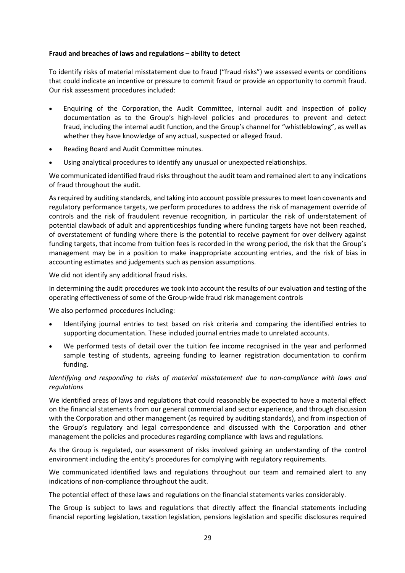## **Fraud and breaches of laws and regulations – ability to detect**

To identify risks of material misstatement due to fraud ("fraud risks") we assessed events or conditions that could indicate an incentive or pressure to commit fraud or provide an opportunity to commit fraud. Our risk assessment procedures included:

- Enquiring of the Corporation, the Audit Committee, internal audit and inspection of policy documentation as to the Group's high-level policies and procedures to prevent and detect fraud, including the internal audit function, and the Group's channel for "whistleblowing", as well as whether they have knowledge of any actual, suspected or alleged fraud.
- Reading Board and Audit Committee minutes.
- Using analytical procedures to identify any unusual or unexpected relationships.

We communicated identified fraud risks throughout the audit team and remained alert to any indications of fraud throughout the audit.

As required by auditing standards, and taking into account possible pressures to meet loan covenants and regulatory performance targets, we perform procedures to address the risk of management override of controls and the risk of fraudulent revenue recognition, in particular the risk of understatement of potential clawback of adult and apprenticeships funding where funding targets have not been reached, of overstatement of funding where there is the potential to receive payment for over delivery against funding targets, that income from tuition fees is recorded in the wrong period, the risk that the Group's management may be in a position to make inappropriate accounting entries, and the risk of bias in accounting estimates and judgements such as pension assumptions.

We did not identify any additional fraud risks.

In determining the audit procedures we took into account the results of our evaluation and testing of the operating effectiveness of some of the Group-wide fraud risk management controls

We also performed procedures including:

- Identifying journal entries to test based on risk criteria and comparing the identified entries to supporting documentation. These included journal entries made to unrelated accounts.
- We performed tests of detail over the tuition fee income recognised in the year and performed sample testing of students, agreeing funding to learner registration documentation to confirm funding.

## *Identifying and responding to risks of material misstatement due to non-compliance with laws and regulations*

We identified areas of laws and regulations that could reasonably be expected to have a material effect on the financial statements from our general commercial and sector experience, and through discussion with the Corporation and other management (as required by auditing standards), and from inspection of the Group's regulatory and legal correspondence and discussed with the Corporation and other management the policies and procedures regarding compliance with laws and regulations.

As the Group is regulated, our assessment of risks involved gaining an understanding of the control environment including the entity's procedures for complying with regulatory requirements.

We communicated identified laws and regulations throughout our team and remained alert to any indications of non-compliance throughout the audit.

The potential effect of these laws and regulations on the financial statements varies considerably.

The Group is subject to laws and regulations that directly affect the financial statements including financial reporting legislation, taxation legislation, pensions legislation and specific disclosures required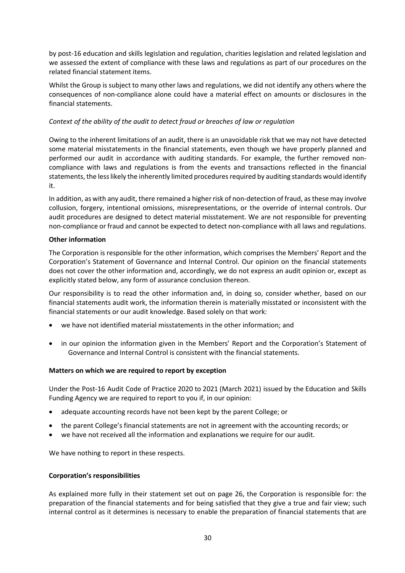by post-16 education and skills legislation and regulation, charities legislation and related legislation and we assessed the extent of compliance with these laws and regulations as part of our procedures on the related financial statement items.

Whilst the Group is subject to many other laws and regulations, we did not identify any others where the consequences of non-compliance alone could have a material effect on amounts or disclosures in the financial statements.

## *Context of the ability of the audit to detect fraud or breaches of law or regulation*

Owing to the inherent limitations of an audit, there is an unavoidable risk that we may not have detected some material misstatements in the financial statements, even though we have properly planned and performed our audit in accordance with auditing standards. For example, the further removed noncompliance with laws and regulations is from the events and transactions reflected in the financial statements, the less likely the inherently limited procedures required by auditing standards would identify it.

In addition, as with any audit, there remained a higher risk of non-detection of fraud, as these may involve collusion, forgery, intentional omissions, misrepresentations, or the override of internal controls. Our audit procedures are designed to detect material misstatement. We are not responsible for preventing non-compliance or fraud and cannot be expected to detect non-compliance with all laws and regulations.

#### **Other information**

The Corporation is responsible for the other information, which comprises the Members' Report and the Corporation's Statement of Governance and Internal Control. Our opinion on the financial statements does not cover the other information and, accordingly, we do not express an audit opinion or, except as explicitly stated below, any form of assurance conclusion thereon.

Our responsibility is to read the other information and, in doing so, consider whether, based on our financial statements audit work, the information therein is materially misstated or inconsistent with the financial statements or our audit knowledge. Based solely on that work:

- we have not identified material misstatements in the other information; and
- in our opinion the information given in the Members' Report and the Corporation's Statement of Governance and Internal Control is consistent with the financial statements.

#### **Matters on which we are required to report by exception**

Under the Post-16 Audit Code of Practice 2020 to 2021 (March 2021) issued by the Education and Skills Funding Agency we are required to report to you if, in our opinion:

- adequate accounting records have not been kept by the parent College; or
- the parent College's financial statements are not in agreement with the accounting records; or
- we have not received all the information and explanations we require for our audit.

We have nothing to report in these respects.

#### **Corporation's responsibilities**

As explained more fully in their statement set out on page 26, the Corporation is responsible for: the preparation of the financial statements and for being satisfied that they give a true and fair view; such internal control as it determines is necessary to enable the preparation of financial statements that are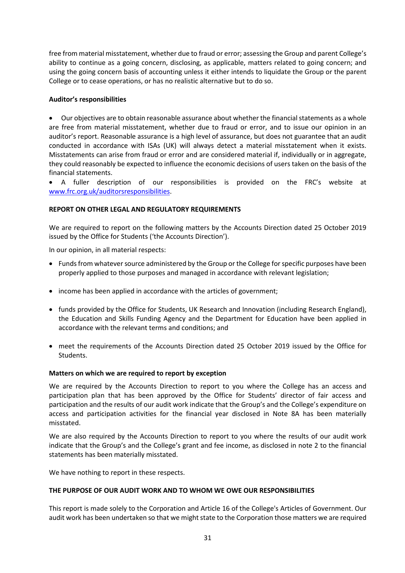free from material misstatement, whether due to fraud or error; assessing the Group and parent College's ability to continue as a going concern, disclosing, as applicable, matters related to going concern; and using the going concern basis of accounting unless it either intends to liquidate the Group or the parent College or to cease operations, or has no realistic alternative but to do so.

#### **Auditor's responsibilities**

• Our objectives are to obtain reasonable assurance about whether the financial statements as a whole are free from material misstatement, whether due to fraud or error, and to issue our opinion in an auditor's report. Reasonable assurance is a high level of assurance, but does not guarantee that an audit conducted in accordance with ISAs (UK) will always detect a material misstatement when it exists. Misstatements can arise from fraud or error and are considered material if, individually or in aggregate, they could reasonably be expected to influence the economic decisions of users taken on the basis of the financial statements.

• A fuller description of our responsibilities is provided on the FRC's website at [www.frc.org.uk/auditorsresponsibilities.](http://www.frc.org.uk/auditorsresponsibilities)

## **REPORT ON OTHER LEGAL AND REGULATORY REQUIREMENTS**

We are required to report on the following matters by the Accounts Direction dated 25 October 2019 issued by the Office for Students ('the Accounts Direction').

In our opinion, in all material respects:

- Funds from whatever source administered by the Group or the College for specific purposes have been properly applied to those purposes and managed in accordance with relevant legislation;
- income has been applied in accordance with the articles of government;
- funds provided by the Office for Students, UK Research and Innovation (including Research England), the Education and Skills Funding Agency and the Department for Education have been applied in accordance with the relevant terms and conditions; and
- meet the requirements of the Accounts Direction dated 25 October 2019 issued by the Office for Students.

#### **Matters on which we are required to report by exception**

We are required by the Accounts Direction to report to you where the College has an access and participation plan that has been approved by the Office for Students' director of fair access and participation and the results of our audit work indicate that the Group's and the College's expenditure on access and participation activities for the financial year disclosed in Note 8A has been materially misstated.

We are also required by the Accounts Direction to report to you where the results of our audit work indicate that the Group's and the College's grant and fee income, as disclosed in note 2 to the financial statements has been materially misstated.

We have nothing to report in these respects.

#### **THE PURPOSE OF OUR AUDIT WORK AND TO WHOM WE OWE OUR RESPONSIBILITIES**

This report is made solely to the Corporation and Article 16 of the College's Articles of Government. Our audit work has been undertaken so that we might state to the Corporation those matters we are required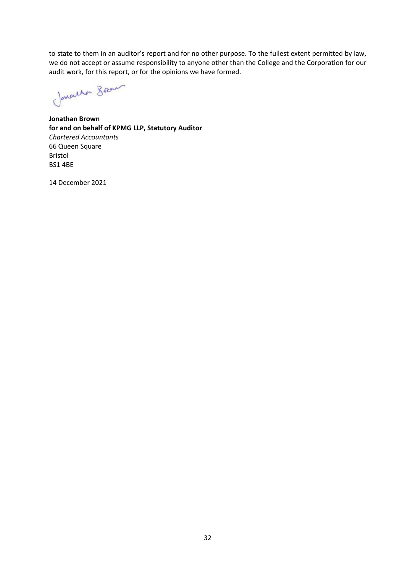to state to them in an auditor's report and for no other purpose. To the fullest extent permitted by law, we do not accept or assume responsibility to anyone other than the College and the Corporation for our audit work, for this report, or for the opinions we have formed.

Jonathan Brown

**Jonathan Brown for and on behalf of KPMG LLP, Statutory Auditor**  *Chartered Accountants*  66 Queen Square Bristol BS1 4BE

14 December 2021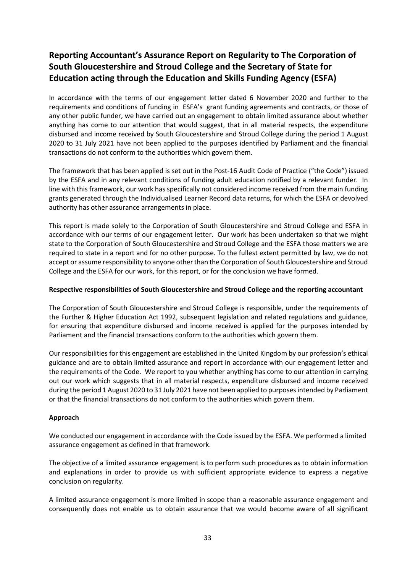# **Reporting Accountant's Assurance Report on Regularity to The Corporation of South Gloucestershire and Stroud College and the Secretary of State for Education acting through the Education and Skills Funding Agency (ESFA)**

In accordance with the terms of our engagement letter dated 6 November 2020 and further to the requirements and conditions of funding in ESFA's grant funding agreements and contracts, or those of any other public funder, we have carried out an engagement to obtain limited assurance about whether anything has come to our attention that would suggest, that in all material respects, the expenditure disbursed and income received by South Gloucestershire and Stroud College during the period 1 August 2020 to 31 July 2021 have not been applied to the purposes identified by Parliament and the financial transactions do not conform to the authorities which govern them.

The framework that has been applied is set out in the Post-16 Audit Code of Practice ("the Code") issued by the ESFA and in any relevant conditions of funding adult education notified by a relevant funder. In line with this framework, our work has specifically not considered income received from the main funding grants generated through the Individualised Learner Record data returns, for which the ESFA or devolved authority has other assurance arrangements in place.

This report is made solely to the Corporation of South Gloucestershire and Stroud College and ESFA in accordance with our terms of our engagement letter. Our work has been undertaken so that we might state to the Corporation of South Gloucestershire and Stroud College and the ESFA those matters we are required to state in a report and for no other purpose. To the fullest extent permitted by law, we do not accept or assume responsibility to anyone other than the Corporation of South Gloucestershire and Stroud College and the ESFA for our work, for this report, or for the conclusion we have formed.

#### **Respective responsibilities of South Gloucestershire and Stroud College and the reporting accountant**

The Corporation of South Gloucestershire and Stroud College is responsible, under the requirements of the Further & Higher Education Act 1992, subsequent legislation and related regulations and guidance, for ensuring that expenditure disbursed and income received is applied for the purposes intended by Parliament and the financial transactions conform to the authorities which govern them.

Our responsibilities for this engagement are established in the United Kingdom by our profession's ethical guidance and are to obtain limited assurance and report in accordance with our engagement letter and the requirements of the Code. We report to you whether anything has come to our attention in carrying out our work which suggests that in all material respects, expenditure disbursed and income received during the period 1 August 2020 to 31 July 2021 have not been applied to purposes intended by Parliament or that the financial transactions do not conform to the authorities which govern them.

## **Approach**

We conducted our engagement in accordance with the Code issued by the ESFA. We performed a limited assurance engagement as defined in that framework.

The objective of a limited assurance engagement is to perform such procedures as to obtain information and explanations in order to provide us with sufficient appropriate evidence to express a negative conclusion on regularity.

A limited assurance engagement is more limited in scope than a reasonable assurance engagement and consequently does not enable us to obtain assurance that we would become aware of all significant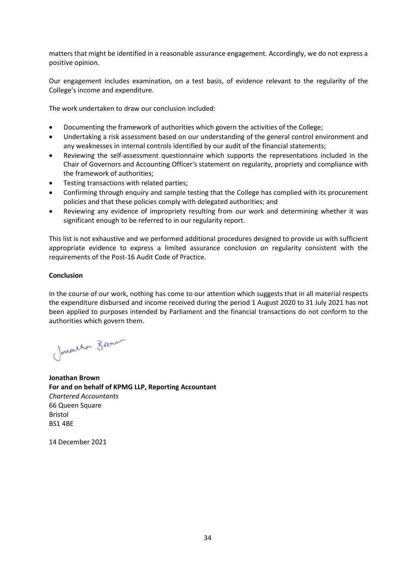matters that might be identified in a reasonable assurance engagement. Accordingly, we do not express a positive opinion.

Our engagement includes examination, on a test basis, of evidence relevant to the regularity of the College's income and expenditure.

The work undertaken to draw our conclusion included:

- Documenting the framework of authorities which govern the activities of the College;
- Undertaking a risk assessment based on our understanding of the general control environment and any weaknesses in internal controls identified by our audit of the financial statements;
- Reviewing the self-assessment questionnaire which supports the representations included in the Chair of Governors and Accounting Officer's statement on regularity, propriety and compliance with the framework of authorities;
- Testing transactions with related parties;
- Confirming through enquiry and sample testing that the College has complied with its procurement policies and that these policies comply with delegated authorities; and
- Reviewing any evidence of impropriety resulting from our work and determining whether it was significant enough to be referred to in our regularity report.

This list is not exhaustive and we performed additional procedures designed to provide us with sufficient appropriate evidence to express a limited assurance conclusion on regularity consistent with the requirements of the Post-16 Audit Code of Practice.

## **Conclusion**

In the course of our work, nothing has come to our attention which suggests that in all material respects the expenditure disbursed and income received during the period 1 August 2020 to 31 July 2021 has not been applied to purposes intended by Parliament and the financial transactions do not conform to the authorities which govern them.

Jonatha Brown

**Jonathan Brown For and on behalf of KPMG LLP, Reporting Accountant**  *Chartered Accountants*  66 Queen Square Bristol BS1 4BE

14 December 2021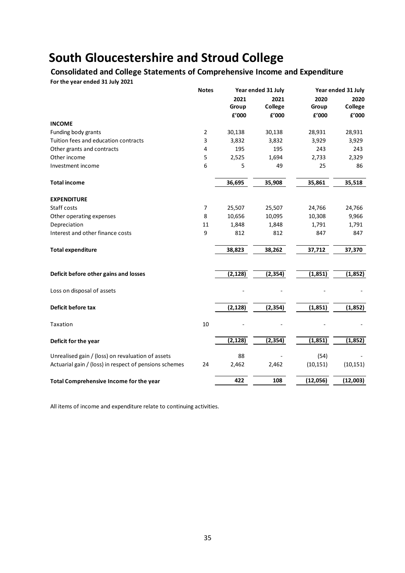## **Consolidated and College Statements of Comprehensive Income and Expenditure**

**For the year ended 31 July 2021**

|                                                        | <b>Notes</b>   |          | Year ended 31 July |           | Year ended 31 July     |
|--------------------------------------------------------|----------------|----------|--------------------|-----------|------------------------|
|                                                        |                | 2021     | 2021               | 2020      | 2020                   |
|                                                        |                | Group    | College            | Group     | College                |
|                                                        |                | £'000    | £'000              | £'000     | ${\bf f}^{\prime}$ 000 |
| <b>INCOME</b>                                          |                |          |                    |           |                        |
| Funding body grants                                    | $\overline{2}$ | 30,138   | 30,138             | 28,931    | 28,931                 |
| Tuition fees and education contracts                   | 3              | 3,832    | 3,832              | 3,929     | 3,929                  |
| Other grants and contracts                             | 4              | 195      | 195                | 243       | 243                    |
| Other income                                           | 5              | 2,525    | 1,694              | 2,733     | 2,329                  |
| Investment income                                      | 6              | 5        | 49                 | 25        | 86                     |
| <b>Total income</b>                                    |                | 36,695   | 35,908             | 35,861    | 35,518                 |
| <b>EXPENDITURE</b>                                     |                |          |                    |           |                        |
| Staff costs                                            | $\overline{7}$ | 25,507   | 25,507             | 24,766    | 24,766                 |
| Other operating expenses                               | 8              | 10,656   | 10,095             | 10,308    | 9,966                  |
| Depreciation                                           | 11             | 1,848    | 1,848              | 1,791     | 1,791                  |
| Interest and other finance costs                       | 9              | 812      | 812                | 847       | 847                    |
| <b>Total expenditure</b>                               |                | 38,823   | 38,262             | 37,712    | 37,370                 |
|                                                        |                |          |                    |           |                        |
| Deficit before other gains and losses                  |                | (2, 128) | (2, 354)           | (1, 851)  | (1, 852)               |
| Loss on disposal of assets                             |                |          |                    |           |                        |
| Deficit before tax                                     |                | (2, 128) | (2, 354)           | (1,851)   | (1,852)                |
| Taxation                                               | 10             |          |                    |           |                        |
| Deficit for the year                                   |                | (2, 128) | (2, 354)           | (1, 851)  | (1,852)                |
| Unrealised gain / (loss) on revaluation of assets      |                | 88       |                    | (54)      |                        |
| Actuarial gain / (loss) in respect of pensions schemes | 24             | 2,462    | 2,462              | (10, 151) | (10, 151)              |
| Total Comprehensive Income for the year                |                | 422      | 108                | (12,056)  | (12,003)               |

All items of income and expenditure relate to continuing activities.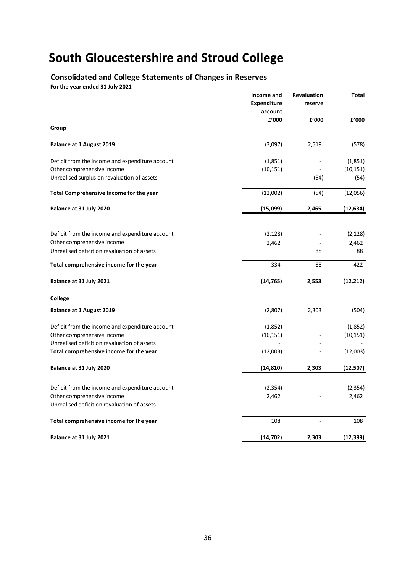# **Consolidated and College Statements of Changes in Reserves**

**For the year ended 31 July 2021**

|                                                                               | Income and<br><b>Expenditure</b><br>account | <b>Revaluation</b><br>reserve | Total     |
|-------------------------------------------------------------------------------|---------------------------------------------|-------------------------------|-----------|
|                                                                               | f'000                                       | f'000                         | f'000     |
| Group                                                                         |                                             |                               |           |
| <b>Balance at 1 August 2019</b>                                               | (3,097)                                     | 2,519                         | (578)     |
| Deficit from the income and expenditure account                               | (1,851)                                     |                               | (1,851)   |
| Other comprehensive income                                                    | (10, 151)                                   |                               | (10, 151) |
| Unrealised surplus on revaluation of assets                                   |                                             | (54)                          | (54)      |
| Total Comprehensive Income for the year                                       | (12,002)                                    | (54)                          | (12,056)  |
| Balance at 31 July 2020                                                       | (15,099)                                    | 2,465                         | (12, 634) |
|                                                                               |                                             |                               |           |
| Deficit from the income and expenditure account                               | (2, 128)                                    |                               | (2, 128)  |
| Other comprehensive income                                                    | 2,462                                       |                               | 2,462     |
| Unrealised deficit on revaluation of assets                                   |                                             | 88                            | 88        |
| Total comprehensive income for the year                                       | 334                                         | 88                            | 422       |
| Balance at 31 July 2021                                                       | (14,765)                                    | 2,553                         | (12, 212) |
| College                                                                       |                                             |                               |           |
| <b>Balance at 1 August 2019</b>                                               | (2,807)                                     | 2,303                         | (504)     |
| Deficit from the income and expenditure account                               | (1,852)                                     |                               | (1,852)   |
| Other comprehensive income                                                    | (10, 151)                                   |                               | (10, 151) |
| Unrealised deficit on revaluation of assets                                   |                                             |                               |           |
| Total comprehensive income for the year                                       | (12,003)                                    |                               | (12,003)  |
| Balance at 31 July 2020                                                       | (14, 810)                                   | 2,303                         | (12, 507) |
|                                                                               |                                             |                               |           |
| Deficit from the income and expenditure account<br>Other comprehensive income | (2, 354)<br>2,462                           |                               | (2, 354)  |
| Unrealised deficit on revaluation of assets                                   |                                             |                               | 2,462     |
|                                                                               |                                             |                               |           |
| Total comprehensive income for the year                                       | 108                                         |                               | 108       |
| Balance at 31 July 2021                                                       | (14, 702)                                   | 2,303                         | (12, 399) |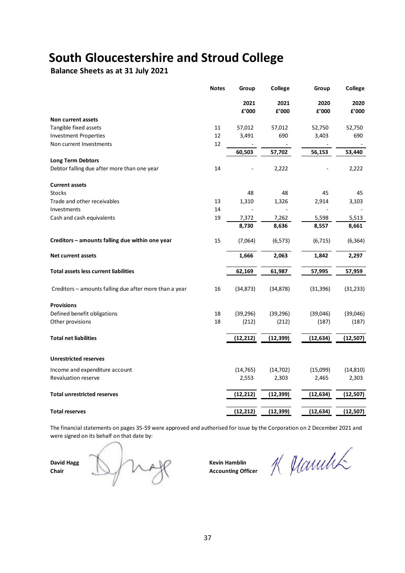**Balance Sheets as at 31 July 2021**

|                                                        | <b>Notes</b> | Group         | College       | Group         | College       |
|--------------------------------------------------------|--------------|---------------|---------------|---------------|---------------|
|                                                        |              | 2021<br>£'000 | 2021<br>£'000 | 2020<br>£'000 | 2020<br>£'000 |
| Non current assets                                     |              |               |               |               |               |
| Tangible fixed assets                                  | 11           | 57,012        | 57,012        | 52,750        | 52,750        |
| <b>Investment Properties</b>                           | 12           | 3,491         | 690           | 3,403         | 690           |
| Non current Investments                                | 12           |               |               |               |               |
| <b>Long Term Debtors</b>                               |              | 60,503        | 57,702        | 56,153        | 53,440        |
| Debtor falling due after more than one year            | 14           |               | 2,222         |               | 2,222         |
| <b>Current assets</b>                                  |              |               |               |               |               |
| <b>Stocks</b>                                          |              | 48            | 48            | 45            | 45            |
| Trade and other receivables                            | 13           | 1,310         | 1,326         | 2,914         | 3,103         |
| Investments                                            | 14           |               |               |               |               |
| Cash and cash equivalents                              | 19           | 7,372         | 7,262         | 5,598         | 5,513         |
|                                                        |              | 8,730         | 8,636         | 8,557         | 8,661         |
| Creditors - amounts falling due within one year        | 15           | (7,064)       | (6, 573)      | (6, 715)      | (6, 364)      |
| <b>Net current assets</b>                              |              | 1,666         | 2,063         | 1,842         | 2,297         |
| <b>Total assets less current liabilities</b>           |              | 62,169        | 61,987        | 57,995        | 57,959        |
| Creditors - amounts falling due after more than a year | 16           | (34, 873)     | (34, 878)     | (31, 396)     | (31, 233)     |
| <b>Provisions</b>                                      |              |               |               |               |               |
| Defined benefit obligations                            | 18           | (39, 296)     | (39, 296)     | (39,046)      | (39,046)      |
| Other provisions                                       | 18           | (212)         | (212)         | (187)         | (187)         |
| <b>Total net liabilities</b>                           |              | (12, 212)     | (12, 399)     | (12, 634)     | (12, 507)     |
| <b>Unrestricted reserves</b>                           |              |               |               |               |               |
| Income and expenditure account                         |              | (14, 765)     | (14, 702)     | (15,099)      | (14, 810)     |
| <b>Revaluation reserve</b>                             |              | 2,553         | 2,303         | 2,465         | 2,303         |
| <b>Total unrestricted reserves</b>                     |              |               |               |               |               |
|                                                        |              | (12, 212)     | (12, 399)     | (12, 634)     | (12, 507)     |
| <b>Total reserves</b>                                  |              | (12, 212)     | (12, 399)     | (12, 634)     | (12, 507)     |

The financial statements on pages 35-59 were approved and authorised for issue by the Corporation on 2 December 2021 and were signed on its behalf on that date by:

**David Hagg Chair Chair Chair Chair Accounting Off** 

**Accounting Officer** 

K Manulik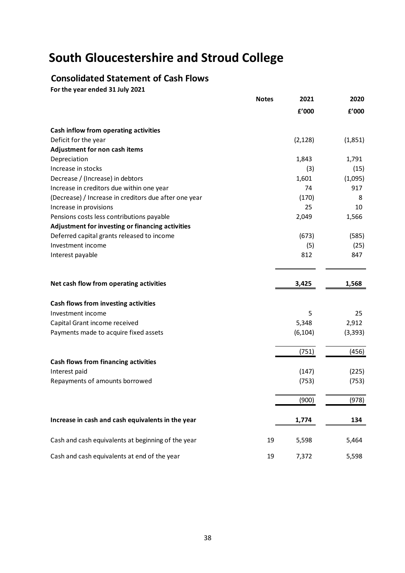# **Consolidated Statement of Cash Flows**

**For the year ended 31 July 2021**

|                                                       | <b>Notes</b> | 2021     | 2020     |
|-------------------------------------------------------|--------------|----------|----------|
|                                                       |              | £'000    | £'000    |
| Cash inflow from operating activities                 |              |          |          |
| Deficit for the year                                  |              | (2, 128) | (1,851)  |
| Adjustment for non cash items                         |              |          |          |
| Depreciation                                          |              | 1,843    | 1,791    |
| Increase in stocks                                    |              | (3)      | (15)     |
| Decrease / (Increase) in debtors                      |              | 1,601    | (1,095)  |
| Increase in creditors due within one year             |              | 74       | 917      |
| (Decrease) / Increase in creditors due after one year |              | (170)    | 8        |
| Increase in provisions                                |              | 25       | 10       |
| Pensions costs less contributions payable             |              | 2,049    | 1,566    |
| Adjustment for investing or financing activities      |              |          |          |
| Deferred capital grants released to income            |              | (673)    | (585)    |
| Investment income                                     |              | (5)      | (25)     |
| Interest payable                                      |              | 812      | 847      |
| Net cash flow from operating activities               |              | 3,425    | 1,568    |
| Cash flows from investing activities                  |              |          |          |
| Investment income                                     |              | 5        | 25       |
| Capital Grant income received                         |              | 5,348    | 2,912    |
| Payments made to acquire fixed assets                 |              | (6, 104) | (3, 393) |
|                                                       |              | (751)    | (456)    |
| <b>Cash flows from financing activities</b>           |              |          |          |
| Interest paid                                         |              | (147)    | (225)    |
| Repayments of amounts borrowed                        |              | (753)    | (753)    |
|                                                       |              | (900)    | (978)    |
| Increase in cash and cash equivalents in the year     |              | 1,774    | 134      |
| Cash and cash equivalents at beginning of the year    | 19           | 5,598    | 5,464    |
| Cash and cash equivalents at end of the year          | 19           | 7,372    | 5,598    |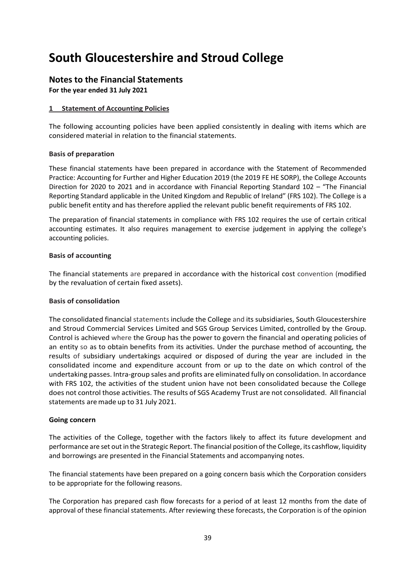## **Notes to the Financial Statements**

**For the year ended 31 July 2021**

## **1 Statement of Accounting Policies**

The following accounting policies have been applied consistently in dealing with items which are considered material in relation to the financial statements.

#### **Basis of preparation**

These financial statements have been prepared in accordance with the Statement of Recommended Practice: Accounting for Further and Higher Education 2019 (the 2019 FE HE SORP), the College Accounts Direction for 2020 to 2021 and in accordance with Financial Reporting Standard 102 – "The Financial Reporting Standard applicable in the United Kingdom and Republic of Ireland" (FRS 102). The College is a public benefit entity and has therefore applied the relevant public benefit requirements of FRS 102.

The preparation of financial statements in compliance with FRS 102 requires the use of certain critical accounting estimates. It also requires management to exercise judgement in applying the college's accounting policies.

## **Basis of accounting**

The financial statements are prepared in accordance with the historical cost convention (modified by the revaluation of certain fixed assets).

#### **Basis of consolidation**

The consolidated financial statements include the College and its subsidiaries, South Gloucestershire and Stroud Commercial Services Limited and SGS Group Services Limited, controlled by the Group. Control is achieved where the Group has the power to govern the financial and operating policies of an entity so as to obtain benefits from its activities. Under the purchase method of accounting, the results of subsidiary undertakings acquired or disposed of during the year are included in the consolidated income and expenditure account from or up to the date on which control of the undertaking passes. Intra-group sales and profits are eliminated fully on consolidation. In accordance with FRS 102, the activities of the student union have not been consolidated because the College does not control those activities. The results of SGS Academy Trust are not consolidated. All financial statements aremade up to 31 July 2021.

#### **Going concern**

The activities of the College, together with the factors likely to affect its future development and performance are set out in the Strategic Report. The financial position of the College, its cashflow, liquidity and borrowings are presented in the Financial Statements and accompanying notes.

The financial statements have been prepared on a going concern basis which the Corporation considers to be appropriate for the following reasons.

The Corporation has prepared cash flow forecasts for a period of at least 12 months from the date of approval of these financial statements. After reviewing these forecasts, the Corporation is of the opinion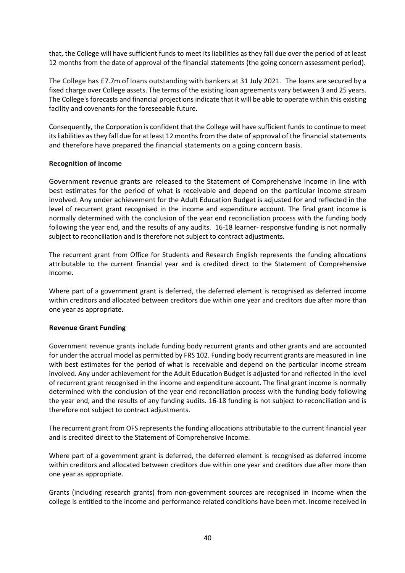that, the College will have sufficient funds to meet its liabilities as they fall due over the period of at least 12 months from the date of approval of the financial statements (the going concern assessment period).

The College has £7.7m of loans outstanding with bankers at 31 July 2021. The loans are secured by a fixed charge over College assets. The terms of the existing loan agreements vary between 3 and 25 years. The College's forecasts and financial projections indicate that it will be able to operate within this existing facility and covenants for the foreseeable future.

Consequently, the Corporation is confident that the College will have sufficient funds to continue to meet its liabilities as they fall due for at least 12 months from the date of approval of the financial statements and therefore have prepared the financial statements on a going concern basis.

## **Recognition of income**

Government revenue grants are released to the Statement of Comprehensive Income in line with best estimates for the period of what is receivable and depend on the particular income stream involved. Any under achievement for the Adult Education Budget is adjusted for and reflected in the level of recurrent grant recognised in the income and expenditure account. The final grant income is normally determined with the conclusion of the year end reconciliation process with the funding body following the year end, and the results of any audits. 16-18 learner- responsive funding is not normally subject to reconciliation and is therefore not subject to contract adjustments.

The recurrent grant from Office for Students and Research English represents the funding allocations attributable to the current financial year and is credited direct to the Statement of Comprehensive Income.

Where part of a government grant is deferred, the deferred element is recognised as deferred income within creditors and allocated between creditors due within one year and creditors due after more than one year as appropriate.

#### **Revenue Grant Funding**

Government revenue grants include funding body recurrent grants and other grants and are accounted for under the accrual model as permitted by FRS 102. Funding body recurrent grants are measured in line with best estimates for the period of what is receivable and depend on the particular income stream involved. Any under achievement for the Adult Education Budget is adjusted for and reflected in the level of recurrent grant recognised in the income and expenditure account. The final grant income is normally determined with the conclusion of the year end reconciliation process with the funding body following the year end, and the results of any funding audits. 16-18 funding is not subject to reconciliation and is therefore not subject to contract adjustments.

The recurrent grant from OFS represents the funding allocations attributable to the current financial year and is credited direct to the Statement of Comprehensive Income.

Where part of a government grant is deferred, the deferred element is recognised as deferred income within creditors and allocated between creditors due within one year and creditors due after more than one year as appropriate.

Grants (including research grants) from non-government sources are recognised in income when the college is entitled to the income and performance related conditions have been met. Income received in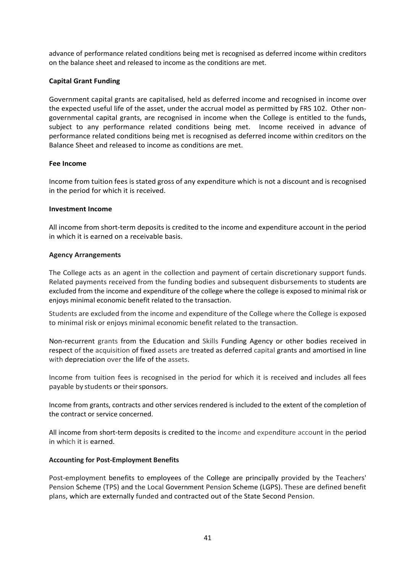advance of performance related conditions being met is recognised as deferred income within creditors on the balance sheet and released to income as the conditions are met.

#### **Capital Grant Funding**

Government capital grants are capitalised, held as deferred income and recognised in income over the expected useful life of the asset, under the accrual model as permitted by FRS 102. Other nongovernmental capital grants, are recognised in income when the College is entitled to the funds, subject to any performance related conditions being met. Income received in advance of performance related conditions being met is recognised as deferred income within creditors on the Balance Sheet and released to income as conditions are met.

#### **Fee Income**

Income from tuition fees is stated gross of any expenditure which is not a discount and is recognised in the period for which it is received.

#### **Investment Income**

All income from short-term deposits is credited to the income and expenditure account in the period in which it is earned on a receivable basis.

## **Agency Arrangements**

The College acts as an agent in the collection and payment of certain discretionary support funds. Related payments received from the funding bodies and subsequent disbursements to students are excluded from the income and expenditure of the college where the college is exposed to minimal risk or enjoys minimal economic benefit related to the transaction.

Students are excluded from the income and expenditure of the College where the College is exposed to minimal risk or enjoys minimal economic benefit related to the transaction.

Non-recurrent grants from the Education and Skills Funding Agency or other bodies received in respect of the acquisition of fixed assets are treated as deferred capital grants and amortised in line with depreciation over the life of the assets.

Income from tuition fees is recognised in the period for which it is received and includes all fees payable by students or their sponsors.

Income from grants, contracts and other services rendered is included to the extent of the completion of the contract or service concerned.

All income from short-term deposits is credited to the income and expenditure account in the period in which it is earned.

#### **Accounting for Post-Employment Benefits**

Post-employment benefits to employees of the College are principally provided by the Teachers' Pension Scheme (TPS) and the Local Government Pension Scheme (LGPS). These are defined benefit plans, which are externally funded and contracted out of the State Second Pension.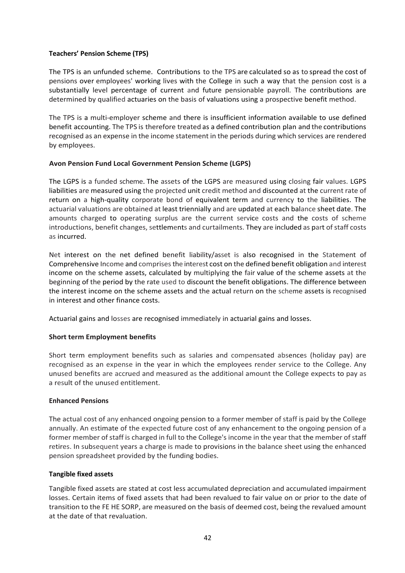## **Teachers' Pension Scheme (TPS)**

The TPS is an unfunded scheme. Contributions to the TPS are calculated so as to spread the cost of pensions over employees' working lives with the College in such a way that the pension cost is a substantially level percentage of current and future pensionable payroll. The contributions are determined by qualified actuaries on the basis of valuations using a prospective benefit method.

The TPS is a multi-employer scheme and there is insufficient information available to use defined benefit accounting. The TPS is therefore treated as a defined contribution plan and the contributions recognised as an expense in the income statement in the periods during which services are rendered by employees.

## **Avon Pension Fund Local Government Pension Scheme (LGPS)**

The LGPS is a funded scheme. The assets of the LGPS are measured using closing fair values. LGPS liabilities are measured using the projected unit credit method and discounted at the current rate of return on a high-quality corporate bond of equivalent term and currency to the liabilities. The actuarial valuations are obtained at least triennially and are updated at each balance sheet date. The amounts charged to operating surplus are the current service costs and the costs of scheme introductions, benefit changes, settlements and curtailments. They are included as part of staff costs as incurred.

Net interest on the net defined benefit liability/asset is also recognised in the Statement of Comprehensive Income and comprises the interest cost on the defined benefit obligation and interest income on the scheme assets, calculated by multiplying the fair value of the scheme assets at the beginning of the period by the rate used to discount the benefit obligations. The difference between the interest income on the scheme assets and the actual return on the scheme assets is recognised in interest and other finance costs.

Actuarial gains and losses are recognised immediately in actuarial gains and losses.

## **Short term Employment benefits**

Short term employment benefits such as salaries and compensated absences (holiday pay) are recognised as an expense in the year in which the employees render service to the College. Any unused benefits are accrued and measured as the additional amount the College expects to pay as a result of the unused entitlement.

#### **Enhanced Pensions**

The actual cost of any enhanced ongoing pension to a former member of staff is paid by the College annually. An estimate of the expected future cost of any enhancement to the ongoing pension of a former member of staff is charged in full to the College's income in the year that the member of staff retires. In subsequent years a charge is made to provisions in the balance sheet using the enhanced pension spreadsheet provided by the funding bodies.

#### **Tangible fixed assets**

Tangible fixed assets are stated at cost less accumulated depreciation and accumulated impairment losses. Certain items of fixed assets that had been revalued to fair value on or prior to the date of transition to the FE HE SORP, are measured on the basis of deemed cost, being the revalued amount at the date of that revaluation.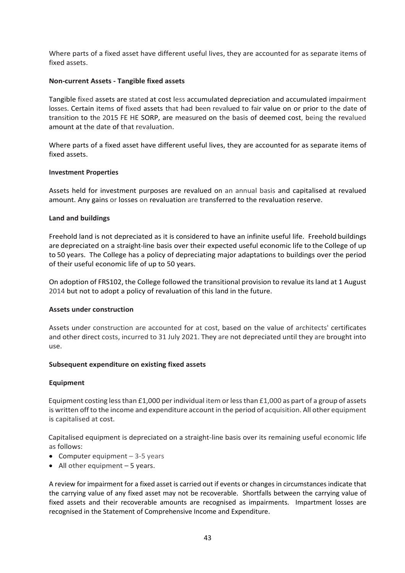Where parts of a fixed asset have different useful lives, they are accounted for as separate items of fixed assets.

#### **Non-current Assets - Tangible fixed assets**

Tangible fixed assets are stated at cost less accumulated depreciation and accumulated impairment losses. Certain items of fixed assets that had been revalued to fair value on or prior to the date of transition to the 2015 FE HE SORP, are measured on the basis of deemed cost, being the revalued amount at the date of that revaluation.

Where parts of a fixed asset have different useful lives, they are accounted for as separate items of fixed assets.

#### **Investment Properties**

Assets held for investment purposes are revalued on an annual basis and capitalised at revalued amount. Any gains or losses on revaluation are transferred to the revaluation reserve.

#### **Land and buildings**

Freehold land is not depreciated as it is considered to have an infinite useful life. Freehold buildings are depreciated on a straight-line basis over their expected useful economic life to the College of up to 50 years. The College has a policy of depreciating major adaptations to buildings over the period of their useful economic life of up to 50 years.

On adoption of FRS102, the College followed the transitional provision to revalue its land at 1 August 2014 but not to adopt a policy of revaluation of this land in the future.

#### **Assets under construction**

Assets under construction are accounted for at cost, based on the value of architects' certificates and other direct costs, incurred to 31 July 2021. They are not depreciated until they are brought into use.

#### **Subsequent expenditure on existing fixed assets**

#### **Equipment**

Equipment costing less than £1,000 per individual item or less than £1,000 as part of a group of assets is written off to the income and expenditure account in the period of acquisition. All other equipment is capitalised at cost.

Capitalised equipment is depreciated on a straight-line basis over its remaining useful economic life as follows:

- Computer equipment 3-5 years
- $\bullet$  All other equipment 5 years.

A review for impairment for a fixed asset is carried out if events or changes in circumstances indicate that the carrying value of any fixed asset may not be recoverable. Shortfalls between the carrying value of fixed assets and their recoverable amounts are recognised as impairments. Impartment losses are recognised in the Statement of Comprehensive Income and Expenditure.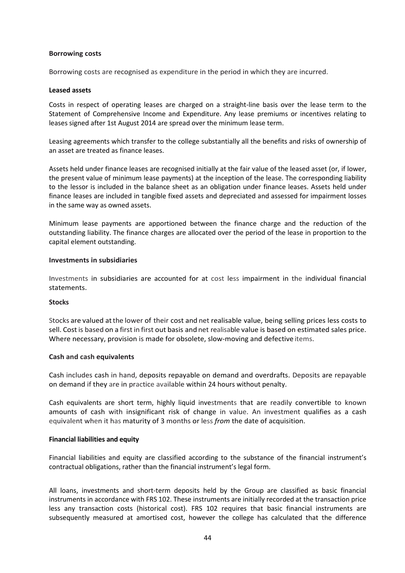#### **Borrowing costs**

Borrowing costs are recognised as expenditure in the period in which they are incurred.

#### **Leased assets**

Costs in respect of operating leases are charged on a straight-line basis over the lease term to the Statement of Comprehensive Income and Expenditure. Any lease premiums or incentives relating to leases signed after 1st August 2014 are spread over the minimum lease term.

Leasing agreements which transfer to the college substantially all the benefits and risks of ownership of an asset are treated as finance leases.

Assets held under finance leases are recognised initially at the fair value of the leased asset (or, if lower, the present value of minimum lease payments) at the inception of the lease. The corresponding liability to the lessor is included in the balance sheet as an obligation under finance leases. Assets held under finance leases are included in tangible fixed assets and depreciated and assessed for impairment losses in the same way as owned assets.

Minimum lease payments are apportioned between the finance charge and the reduction of the outstanding liability. The finance charges are allocated over the period of the lease in proportion to the capital element outstanding.

#### **Investments in subsidiaries**

Investments in subsidiaries are accounted for at cost less impairment in the individual financial statements.

#### **Stocks**

Stocks are valued atthe lower of their cost and net realisable value, being selling prices less costs to sell. Cost is based on a first in first out basis and net realisable value is based on estimated sales price. Where necessary, provision is made for obsolete, slow-moving and defective items.

#### **Cash and cash equivalents**

Cash includes cash in hand, deposits repayable on demand and overdrafts. Deposits are repayable on demand if they are in practice available within 24 hours without penalty.

Cash equivalents are short term, highly liquid investments that are readily convertible to known amounts of cash with insignificant risk of change in value. An investment qualifies as a cash equivalent when it has maturity of 3 months or less *from* the date of acquisition.

#### **Financial liabilities and equity**

Financial liabilities and equity are classified according to the substance of the financial instrument's contractual obligations, rather than the financial instrument's legal form.

All loans, investments and short-term deposits held by the Group are classified as basic financial instruments in accordance with FRS 102. These instruments are initially recorded at the transaction price less any transaction costs (historical cost). FRS 102 requires that basic financial instruments are subsequently measured at amortised cost, however the college has calculated that the difference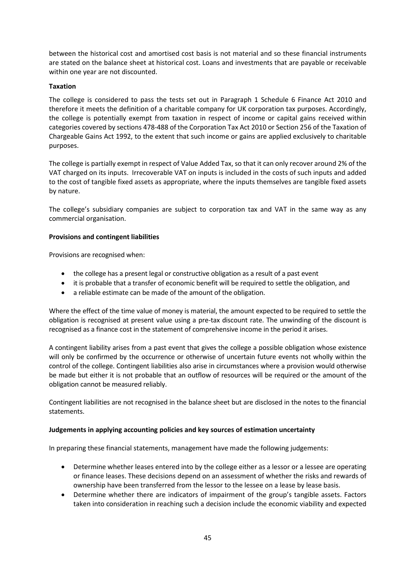between the historical cost and amortised cost basis is not material and so these financial instruments are stated on the balance sheet at historical cost. Loans and investments that are payable or receivable within one year are not discounted.

## **Taxation**

The college is considered to pass the tests set out in Paragraph 1 Schedule 6 Finance Act 2010 and therefore it meets the definition of a charitable company for UK corporation tax purposes. Accordingly, the college is potentially exempt from taxation in respect of income or capital gains received within categories covered by sections 478-488 of the Corporation Tax Act 2010 or Section 256 of the Taxation of Chargeable Gains Act 1992, to the extent that such income or gains are applied exclusively to charitable purposes.

The college is partially exempt in respect of Value Added Tax, so that it can only recover around 2% of the VAT charged on its inputs. Irrecoverable VAT on inputs is included in the costs of such inputs and added to the cost of tangible fixed assets as appropriate, where the inputs themselves are tangible fixed assets by nature.

The college's subsidiary companies are subject to corporation tax and VAT in the same way as any commercial organisation.

## **Provisions and contingent liabilities**

Provisions are recognised when:

- the college has a present legal or constructive obligation as a result of a past event
- it is probable that a transfer of economic benefit will be required to settle the obligation, and
- a reliable estimate can be made of the amount of the obligation.

Where the effect of the time value of money is material, the amount expected to be required to settle the obligation is recognised at present value using a pre-tax discount rate. The unwinding of the discount is recognised as a finance cost in the statement of comprehensive income in the period it arises.

A contingent liability arises from a past event that gives the college a possible obligation whose existence will only be confirmed by the occurrence or otherwise of uncertain future events not wholly within the control of the college. Contingent liabilities also arise in circumstances where a provision would otherwise be made but either it is not probable that an outflow of resources will be required or the amount of the obligation cannot be measured reliably.

Contingent liabilities are not recognised in the balance sheet but are disclosed in the notes to the financial statements.

#### **Judgements in applying accounting policies and key sources of estimation uncertainty**

In preparing these financial statements, management have made the following judgements:

- Determine whether leases entered into by the college either as a lessor or a lessee are operating or finance leases. These decisions depend on an assessment of whether the risks and rewards of ownership have been transferred from the lessor to the lessee on a lease by lease basis.
- Determine whether there are indicators of impairment of the group's tangible assets. Factors taken into consideration in reaching such a decision include the economic viability and expected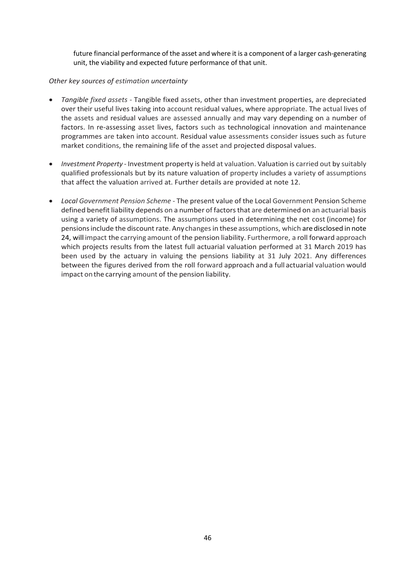future financial performance of the asset and where it is a component of a larger cash-generating unit, the viability and expected future performance of that unit.

## *Other key sources of estimation uncertainty*

- *Tangible fixed assets -* Tangible fixed assets, other than investment properties, are depreciated over their useful lives taking into account residual values, where appropriate. The actual lives of the assets and residual values are assessed annually and may vary depending on a number of factors. In re-assessing asset lives, factors such as technological innovation and maintenance programmes are taken into account. Residual value assessments consider issues such as future market conditions, the remaining life of the asset and projected disposal values.
- *Investment Property -* Investment property is held at valuation. Valuation is carried out by suitably qualified professionals but by its nature valuation of property includes a variety of assumptions that affect the valuation arrived at. Further details are provided at note 12.
- *Local Government Pension Scheme -* The present value of the Local Government Pension Scheme defined benefit liability depends on a number of factors that are determined on an actuarial basis using a variety of assumptions. The assumptions used in determining the net cost (income) for pensionsinclude the discount rate. Any changesin these assumptions, which aredisclosed in note 24, will impact the carrying amount of the pension liability. Furthermore, a roll forward approach which projects results from the latest full actuarial valuation performed at 31 March 2019 has been used by the actuary in valuing the pensions liability at 31 July 2021. Any differences between the figures derived from the roll forward approach and a full actuarial valuation would impact on the carrying amount of the pension liability.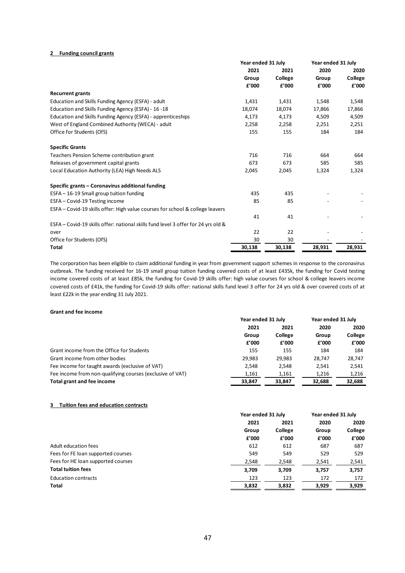#### **2 Funding council grants**

|                                                                                   | Year ended 31 July |         | Year ended 31 July |         |
|-----------------------------------------------------------------------------------|--------------------|---------|--------------------|---------|
|                                                                                   | 2021               | 2021    | 2020               | 2020    |
|                                                                                   | Group              | College | Group              | College |
|                                                                                   | £'000              | f'000   | f'000              | f'000   |
| <b>Recurrent grants</b>                                                           |                    |         |                    |         |
| Education and Skills Funding Agency (ESFA) - adult                                | 1,431              | 1,431   | 1,548              | 1,548   |
| Education and Skills Funding Agency (ESFA) - 16 -18                               | 18,074             | 18,074  | 17,866             | 17,866  |
| Education and Skills Funding Agency (ESFA) - apprenticeships                      | 4,173              | 4,173   | 4,509              | 4,509   |
| West of England Combined Authority (WECA) - adult                                 | 2,258              | 2,258   | 2,251              | 2,251   |
| Office for Students (OfS)                                                         | 155                | 155     | 184                | 184     |
| <b>Specific Grants</b>                                                            |                    |         |                    |         |
| Teachers Pension Scheme contribution grant                                        | 716                | 716     | 664                | 664     |
| Releases of government capital grants                                             | 673                | 673     | 585                | 585     |
| Local Education Authority (LEA) High Needs ALS                                    | 2,045              | 2,045   | 1,324              | 1,324   |
| Specific grants - Coronavirus additional funding                                  |                    |         |                    |         |
| ESFA - 16-19 Small group tuition funding                                          | 435                | 435     |                    |         |
| ESFA - Covid-19 Testing income                                                    | 85                 | 85      |                    |         |
| ESFA – Covid-19 skills offer: High value courses for school & college leavers     |                    |         |                    |         |
|                                                                                   | 41                 | 41      |                    |         |
| ESFA - Covid-19 skills offer: national skills fund level 3 offer for 24 yrs old & |                    |         |                    |         |
| over                                                                              | 22                 | 22      |                    |         |
| Office for Students (OfS)                                                         | 30                 | 30      |                    |         |
| Total                                                                             | 30,138             | 30,138  | 28,931             | 28,931  |

The corporation has been eligible to claim additional funding in year from government support schemes in response to the coronavirus outbreak. The funding received for 16-19 small group tuition funding covered costs of at least £435k, the funding for Covid testing income covered costs of at least £85k, the funding for Covid-19 skills offer: high value courses for school & college leavers income covered costs of £41k, the funding for Covid-19 skills offer: national skills fund level 3 offer for 24 yrs old & over covered costs of at least £22k in the year ending 31 July 2021.

#### **Grant and fee income**

|                                                           | Year ended 31 July |                 | Year ended 31 July |        |      |  |  |  |  |  |  |  |  |  |  |  |       |  |
|-----------------------------------------------------------|--------------------|-----------------|--------------------|--------|------|--|--|--|--|--|--|--|--|--|--|--|-------|--|
|                                                           | 2021<br>Group      | 2021<br>College |                    | 2020   | 2020 |  |  |  |  |  |  |  |  |  |  |  |       |  |
|                                                           |                    |                 |                    |        |      |  |  |  |  |  |  |  |  |  |  |  | Group |  |
|                                                           | f'000              | f'000           | £'000              | f'000  |      |  |  |  |  |  |  |  |  |  |  |  |       |  |
| Grant income from the Office for Students                 | 155                | 155             | 184                | 184    |      |  |  |  |  |  |  |  |  |  |  |  |       |  |
| Grant income from other bodies                            | 29,983             | 29.983          | 28.747             | 28,747 |      |  |  |  |  |  |  |  |  |  |  |  |       |  |
| Fee income for taught awards (exclusive of VAT)           | 2,548              | 2.548           | 2.541              | 2,541  |      |  |  |  |  |  |  |  |  |  |  |  |       |  |
| Fee income from non-qualifying courses (exclusive of VAT) | 1,161              | 1,161           | 1,216              | 1,216  |      |  |  |  |  |  |  |  |  |  |  |  |       |  |
| Total grant and fee income                                | 33,847             | 33,847          | 32,688             | 32,688 |      |  |  |  |  |  |  |  |  |  |  |  |       |  |

#### **3 Tuition fees and education contracts**

| Year ended 31 July |         | Year ended 31 July |         |
|--------------------|---------|--------------------|---------|
| 2021               | 2021    | 2020               | 2020    |
| Group              | College | Group              | College |
| f'000              | f'000   | f'000              | f'000   |
| 612                | 612     | 687                | 687     |
| 549                | 549     | 529                | 529     |
| 2,548              | 2,548   | 2,541              | 2,541   |
| 3,709              | 3,709   | 3,757              | 3,757   |
| 123                | 123     | 172                | 172     |
| 3,832              | 3,832   | 3,929              | 3,929   |
|                    |         |                    |         |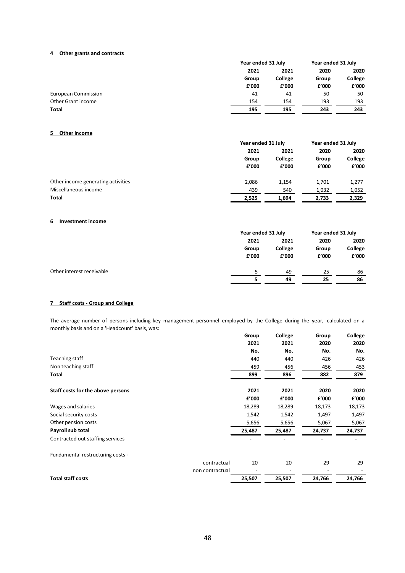#### **4 Other grants and contracts**

|                     |       | Year ended 31 July        |                | Year ended 31 July |
|---------------------|-------|---------------------------|----------------|--------------------|
|                     | 2021  | 2021                      | 2020           | 2020               |
|                     | Group | College<br>f'000<br>f'000 | Group<br>f'000 | College<br>f'000   |
|                     |       |                           |                |                    |
| European Commission | 41    | 41                        | 50             | 50                 |
| Other Grant income  | 154   | 154                       | 193            | 193                |
| <b>Total</b>        | 195   | 195                       | 243            | 243                |

#### **5 Other income**

|                                    |                        | Year ended 31 July       |                        | Year ended 31 July       |
|------------------------------------|------------------------|--------------------------|------------------------|--------------------------|
|                                    | 2021<br>Group<br>f'000 | 2021<br>College<br>f'000 | 2020<br>Group<br>f'000 | 2020<br>College<br>f'000 |
| Other income generating activities | 2.086                  | 1.154                    | 1,701                  | 1,277                    |
| Miscellaneous income               | 439                    | 540                      | 1,032                  | 1,052                    |
| Total                              | 2,525                  | 1.694                    | 2,733                  | 2,329                    |

#### **6 Investment income**

|                           | Year ended 31 July |       | Year ended 31 July |       |         |      |      |
|---------------------------|--------------------|-------|--------------------|-------|---------|------|------|
|                           | 2021<br>Group      | 2021  |                    |       |         | 2020 | 2020 |
|                           |                    |       | College            | Group | College |      |      |
|                           | £'000              | f'000 | f'000              | £'000 |         |      |      |
| Other interest receivable |                    | 49    | 25                 | 86    |         |      |      |
|                           |                    | 49    | 25                 | 86    |         |      |      |

#### **7 Staff costs - Group and College**

The average number of persons including key management personnel employed by the College during the year, calculated on a monthly basis and on a 'Headcount' basis, was:

| THOTILITY Dasis and On a neadcount basis, was. |                   |         |        |         |
|------------------------------------------------|-------------------|---------|--------|---------|
|                                                | Group             | College | Group  | College |
|                                                | 2021              | 2021    | 2020   | 2020    |
|                                                | No.               | No.     | No.    | No.     |
| Teaching staff                                 | 440               | 440     | 426    | 426     |
| Non teaching staff                             | 459               | 456     | 456    | 453     |
| Total                                          | 899               | 896     | 882    | 879     |
| Staff costs for the above persons              | 2021              | 2021    | 2020   | 2020    |
|                                                | f'000             | f'000   | £'000  | f'000   |
| Wages and salaries                             | 18,289            | 18,289  | 18,173 | 18,173  |
| Social security costs                          | 1,542             | 1,542   | 1,497  | 1,497   |
| Other pension costs                            | 5,656             | 5,656   | 5,067  | 5,067   |
| Payroll sub total                              | 25,487            | 25,487  | 24,737 | 24,737  |
| Contracted out staffing services               |                   |         |        |         |
| Fundamental restructuring costs -              |                   |         |        |         |
|                                                | 20<br>contractual | 20      | 29     | 29      |
|                                                | non contractual   |         |        |         |
| <b>Total staff costs</b>                       | 25,507            | 25,507  | 24,766 | 24,766  |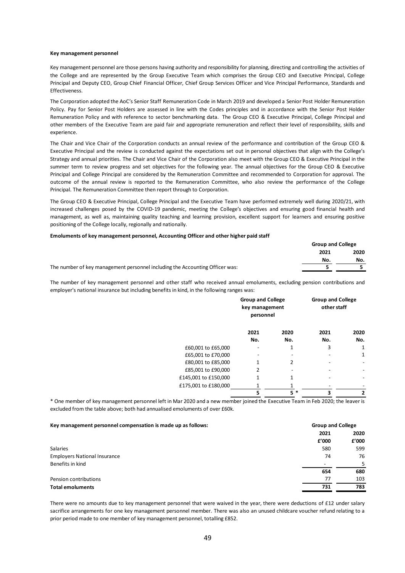#### **Key management personnel**

Key management personnel are those persons having authority and responsibility for planning, directing and controlling the activities of the College and are represented by the Group Executive Team which comprises the Group CEO and Executive Principal, College Principal and Deputy CEO, Group Chief Financial Officer, Chief Group Services Officer and Vice Principal Performance, Standards and **Effectiveness** 

The Corporation adopted the AoC's Senior Staff Remuneration Code in March 2019 and developed a Senior Post Holder Remuneration Policy. Pay for Senior Post Holders are assessed in line with the Codes principles and in accordance with the Senior Post Holder Remuneration Policy and with reference to sector benchmarking data. The Group CEO & Executive Principal, College Principal and other members of the Executive Team are paid fair and appropriate remuneration and reflect their level of responsibility, skills and experience.

The Chair and Vice Chair of the Corporation conducts an annual review of the performance and contribution of the Group CEO & Executive Principal and the review is conducted against the expectations set out in personal objectives that align with the College's Strategy and annual priorities. The Chair and Vice Chair of the Corporation also meet with the Group CEO & Executive Principal in the summer term to review progress and set objectives for the following year. The annual objectives for the Group CEO & Executive Principal and College Principal are considered by the Remuneration Committee and recommended to Corporation for approval. The outcome of the annual review is reported to the Remuneration Committee, who also review the performance of the College Principal. The Remuneration Committee then report through to Corporation.

The Group CEO & Executive Principal, College Principal and the Executive Team have performed extremely well during 2020/21, with increased challenges posed by the COVID-19 pandemic, meeting the College's objectives and ensuring good financial health and management, as well as, maintaining quality teaching and learning provision, excellent support for learners and ensuring positive positioning of the College locally, regionally and nationally.

#### **Emoluments of key management personnel, Accounting Officer and other higher paid staff**

|                                                                              | <b>Group and College</b> |      |
|------------------------------------------------------------------------------|--------------------------|------|
|                                                                              | 2021                     | 2020 |
|                                                                              | No.                      | No.  |
| The number of key management personnel including the Accounting Officer was: |                          |      |

The number of key management personnel and other staff who received annual emoluments, excluding pension contributions and employer's national insurance but including benefits in kind, in the following ranges was:

|                      |      | <b>Group and College</b><br><b>Group and College</b><br>other staff<br>key management<br>personnel |      |      |
|----------------------|------|----------------------------------------------------------------------------------------------------|------|------|
|                      | 2021 | 2020                                                                                               | 2021 | 2020 |
|                      | No.  | No.                                                                                                | No.  | No.  |
| £60,001 to £65,000   |      |                                                                                                    | 3    |      |
| £65,001 to £70,000   |      |                                                                                                    |      |      |
| £80,001 to £85,000   |      |                                                                                                    |      |      |
| £85,001 to £90,000   | 2    |                                                                                                    |      |      |
| £145,001 to £150,000 |      |                                                                                                    |      |      |
| £175,001 to £180,000 |      |                                                                                                    |      |      |
|                      | 5    | $5*$                                                                                               | 3    | 2    |

\* One member of key management personnel left in Mar 2020 and a new member joined the Executive Team in Feb 2020; the leaver is excluded from the table above; both had annualised emoluments of over £60k.

| Key management personnel compensation is made up as follows: |       | <b>Group and College</b> |  |
|--------------------------------------------------------------|-------|--------------------------|--|
|                                                              | 2021  | 2020                     |  |
|                                                              | £'000 | f'000                    |  |
| <b>Salaries</b>                                              | 580   | 599                      |  |
| <b>Employers National Insurance</b>                          | 74    | 76                       |  |
| Benefits in kind                                             |       | 5.                       |  |
|                                                              | 654   | 680                      |  |
| Pension contributions                                        | 77    | 103                      |  |
| <b>Total emoluments</b>                                      | 731   | 783                      |  |

There were no amounts due to key management personnel that were waived in the year, there were deductions of £12 under salary sacrifice arrangements for one key management personnel member. There was also an unused childcare voucher refund relating to a prior period made to one member of key management personnel, totalling £852.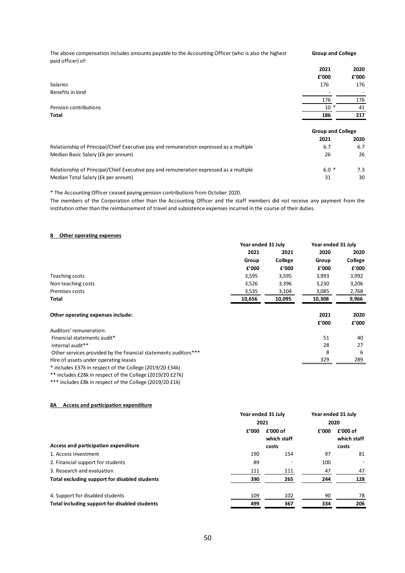The above compensation includes amounts payable to the Accounting Officer (who is also the highest paid officer) of: **Group and College**

|                                                                                        | 2021                     | 2020  |
|----------------------------------------------------------------------------------------|--------------------------|-------|
|                                                                                        | f'000                    | f'000 |
| <b>Salaries</b>                                                                        | 176                      | 176   |
| Benefits in kind                                                                       |                          |       |
|                                                                                        | 176                      | 176   |
| Pension contributions                                                                  | $10*$                    | 41    |
| Total                                                                                  | 186                      | 217   |
|                                                                                        | <b>Group and College</b> |       |
|                                                                                        | 2021                     | 2020  |
| Relationship of Principal/Chief Executive pay and remuneration expressed as a multiple | 6.7                      | 6.7   |
| Median Basic Salary (£k per annum)                                                     | 26                       | 26    |
| Relationship of Principal/Chief Executive pay and remuneration expressed as a multiple | $6.0*$                   | 7.3   |
| Median Total Salary (£k per annum)                                                     | 31                       | 30    |

\* The Accounting Officer ceased paying pension contributions from October 2020.

The members of the Corporation other than the Accounting Officer and the staff members did not receive any payment from the institution other than the reimbursement of travel and subsistence expenses incurred in the course of their duties.

#### **8 Other operating expenses**

|                                                                 | Year ended 31 July |         | Year ended 31 July |         |
|-----------------------------------------------------------------|--------------------|---------|--------------------|---------|
|                                                                 | 2021               | 2021    | 2020               | 2020    |
|                                                                 | Group              | College | Group              | College |
|                                                                 | f'000              | f'000   | f'000              | f'000   |
| Teaching costs                                                  | 3,595              | 3,595   | 3,993              | 3,992   |
| Non teaching costs                                              | 3,526              | 3,396   | 3,230              | 3,206   |
| Premises costs                                                  | 3,535              | 3,104   | 3,085              | 2,768   |
| Total                                                           | 10,656             | 10,095  | 10,308             | 9,966   |
| Other operating expenses include:                               |                    |         | 2021               | 2020    |
|                                                                 |                    |         | f'000              | f'000   |
| Auditors' remuneration:                                         |                    |         |                    |         |
| Financial statements audit*                                     |                    |         | 51                 | 40      |
| Internal audit**                                                |                    |         | 28                 | 27      |
| Other services provided by the financial statements auditors*** |                    |         | 8                  | 6       |
| Hire of assets under operating leases                           |                    |         | 329                | 289     |
| $*$ includes £27k in respect of the College (2010/20 £24k)      |                    |         |                    |         |

\* includes £37k in respect of the College (2019/20 £34k)

\*\* includes £28k in respect of the College (2019/20 £27k)

\*\*\* includes £8k in respect of the College (2019/20 £1k)

#### **8A Access and participation expenditure**

| 2021 |       | Year ended 31 July<br>2020 |       |
|------|-------|----------------------------|-------|
|      |       |                            |       |
|      | costs |                            | costs |
| 190  | 154   | 97                         | 81    |
| 89   |       | 100                        | -     |
| 111  | 111   | 47                         | 47    |
| 390  | 265   | 244                        | 128   |
| 109  | 102   | 90                         | 78    |
| 499  | 367   | 334                        | 206   |
|      |       | Year ended 31 July         |       |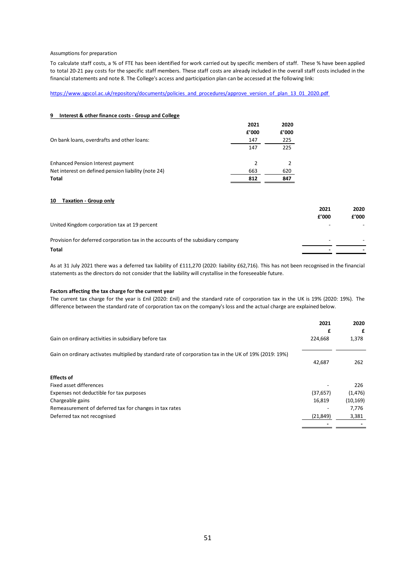#### Assumptions for preparation

To calculate staff costs, a % of FTE has been identified for work carried out by specific members of staff. These % have been applied to total 20-21 pay costs for the specific staff members. These staff costs are already included in the overall staff costs included in the financial statements and note 8. The College's access and participation plan can be accessed at the following link:

#### https://www.sgscol.ac.uk/repository/documents/policies\_and\_procedures/approve\_version\_of\_plan\_13\_01\_2020.pdf

## **9 Interest & other finance costs - Group and College**

| On bank loans, overdrafts and other loans:          | 2021<br>f'000<br>147 | 2020<br>f'000<br>225 |
|-----------------------------------------------------|----------------------|----------------------|
|                                                     | 147                  | 225                  |
| <b>Enhanced Pension Interest payment</b>            | $\mathcal{P}$        |                      |
| Net interest on defined pension liability (note 24) | 663                  | 620                  |
| Total                                               | 812                  | 847                  |

#### **10 Taxation - Group only**

|                                                                                  | 2021  | 2020  |
|----------------------------------------------------------------------------------|-------|-------|
|                                                                                  | f'000 | £'000 |
| United Kingdom corporation tax at 19 percent                                     |       |       |
| Provision for deferred corporation tax in the accounts of the subsidiary company |       |       |
| <b>Total</b>                                                                     |       |       |
|                                                                                  |       |       |

As at 31 July 2021 there was a deferred tax liability of £111,270 (2020: liability £62,716). This has not been recognised in the financial statements as the directors do not consider that the liability will crystallise in the foreseeable future.

#### **Factors affecting the tax charge for the current year**

The current tax charge for the year is £nil (2020: £nil) and the standard rate of corporation tax in the UK is 19% (2020: 19%). The difference between the standard rate of corporation tax on the company's loss and the actual charge are explained below.

|                                                                                                        | 2021      | 2020      |
|--------------------------------------------------------------------------------------------------------|-----------|-----------|
|                                                                                                        | £         | £         |
| Gain on ordinary activities in subsidiary before tax                                                   | 224,668   | 1,378     |
| Gain on ordinary activates multiplied by standard rate of corporation tax in the UK of 19% (2019: 19%) |           |           |
|                                                                                                        | 42,687    | 262       |
| <b>Effects of</b>                                                                                      |           |           |
| Fixed asset differences                                                                                |           | 226       |
| Expenses not deductible for tax purposes                                                               | (37, 657) | (1, 476)  |
| Chargeable gains                                                                                       | 16.819    | (10, 169) |
| Remeasurement of deferred tax for changes in tax rates                                                 |           | 7,776     |
| Deferred tax not recognised                                                                            | (21, 849) | 3,381     |
|                                                                                                        |           |           |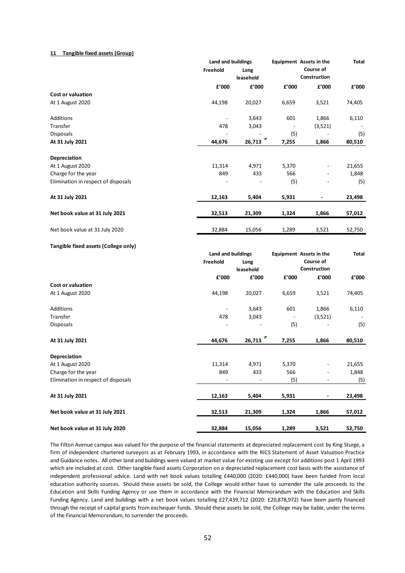#### **11 Tangible fixed assets (Group)**

|          |                                      |                                                                                         |                          | <b>Total</b>                                                                                                       |
|----------|--------------------------------------|-----------------------------------------------------------------------------------------|--------------------------|--------------------------------------------------------------------------------------------------------------------|
| Freehold | Long<br>leasehold                    |                                                                                         | Course of                |                                                                                                                    |
| £'000    | £'000                                | £'000                                                                                   | £'000                    | £'000                                                                                                              |
|          |                                      |                                                                                         |                          |                                                                                                                    |
|          |                                      |                                                                                         |                          | 74,405                                                                                                             |
|          | 3,643                                | 601                                                                                     | 1,866                    | 6,110                                                                                                              |
| 478      | 3,043                                |                                                                                         | (3,521)                  |                                                                                                                    |
|          |                                      | (5)                                                                                     | $\overline{\phantom{a}}$ | (5)                                                                                                                |
|          |                                      | 7,255                                                                                   | 1,866                    | 80,510                                                                                                             |
|          |                                      |                                                                                         |                          |                                                                                                                    |
| 11,314   | 4,971                                | 5,370                                                                                   |                          | 21,655                                                                                                             |
| 849      | 433                                  | 566                                                                                     |                          | 1,848                                                                                                              |
|          |                                      | (5)                                                                                     |                          | (5)                                                                                                                |
| 12,163   | 5,404                                | 5,931                                                                                   |                          | 23,498                                                                                                             |
| 32,513   | 21,309                               | 1,324                                                                                   | 1,866                    | 57,012                                                                                                             |
| 32,884   | 15,056                               | 1,289                                                                                   | 3,521                    | 52,750                                                                                                             |
|          |                                      |                                                                                         |                          |                                                                                                                    |
|          |                                      |                                                                                         |                          | <b>Total</b>                                                                                                       |
| Freehold |                                      |                                                                                         | Course of                |                                                                                                                    |
|          | leasehold                            |                                                                                         |                          |                                                                                                                    |
| f'000    | £'000                                | £'000                                                                                   | £'000                    | f'000                                                                                                              |
|          |                                      |                                                                                         |                          |                                                                                                                    |
| 44,198   | 20,027                               | 6,659                                                                                   | 3,521                    | 74,405                                                                                                             |
|          | 3,643                                | 601                                                                                     | 1,866                    | 6,110                                                                                                              |
| 478      | 3,043                                |                                                                                         | (3,521)                  |                                                                                                                    |
|          |                                      | (5)                                                                                     |                          | (5)                                                                                                                |
| 44,676   | 26,713                               | 7,255                                                                                   | 1,866                    | 80,510                                                                                                             |
|          |                                      |                                                                                         |                          |                                                                                                                    |
|          |                                      |                                                                                         |                          | 21,655                                                                                                             |
| 849      | 433                                  | 566                                                                                     | $\overline{\phantom{a}}$ | 1,848                                                                                                              |
|          | $\blacksquare$                       | (5)                                                                                     | $\blacksquare$           | (5)                                                                                                                |
| 12,163   | 5,404                                | 5,931                                                                                   | ٠                        | 23,498                                                                                                             |
| 32,513   | 21,309                               | 1,324                                                                                   | 1,866                    | 57,012                                                                                                             |
|          |                                      |                                                                                         |                          | 52,750                                                                                                             |
|          | 44,198<br>44,676<br>11,314<br>32,884 | Land and buildings<br>20,027<br>26,713<br>Land and buildings<br>Long<br>4,971<br>15,056 | 6,659<br>5,370<br>1,289  | <b>Equipment</b> Assets in the<br>Construction<br>3,521<br><b>Equipment</b> Assets in the<br>Construction<br>3,521 |

The Filton Avenue campus was valued for the purpose of the financial statements at depreciated replacement cost by King Sturge, a firm of independent chartered surveyors as at February 1993, in accordance with the RICS Statement of Asset Valuation Practice and Guidance notes. All other land and buildings were valued at market value for existing use except for additions post 1 April 1993 which are included at cost. Other tangible fixed assets Corporation on a depreciated replacement cost basis with the assistance of independent professional advice. Land with net book values totalling £440,000 (2020: £440,000) have been funded from local education authority sources. Should these assets be sold, the College would either have to surrender the sale proceeds to the Education and Skills Funding Agency or use them in accordance with the Financial Memorandum with the Education and Skills Funding Agency. Land and buildings with a net book values totalling £27,439,712 (2020: £20,878,972) have been partly financed through the receipt of capital grants from exchequer funds. Should these assets be sold, the College may be liable, under the terms of the Financial Memorandum, to surrender the proceeds.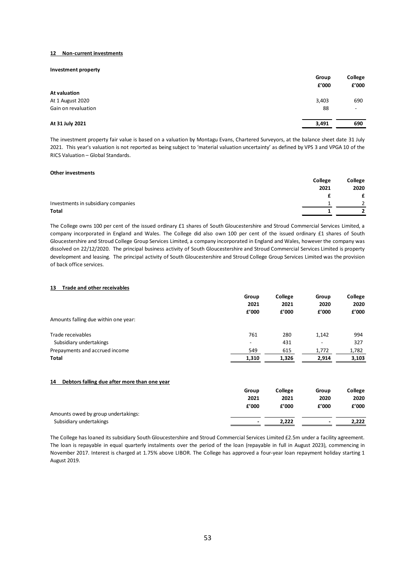#### **12 Non-current investments**

#### **Investment property**

|                     | Group<br>f'000 | College<br>f'000         |
|---------------------|----------------|--------------------------|
| At valuation        |                |                          |
| At 1 August 2020    | 3,403          | 690                      |
| Gain on revaluation | 88             | $\overline{\phantom{a}}$ |
| At 31 July 2021     | 3,491          | 690                      |

The investment property fair value is based on a valuation by Montagu Evans, Chartered Surveyors, at the balance sheet date 31 July 2021. This year's valuation is not reported as being subject to 'material valuation uncertainty' as defined by VPS 3 and VPGA 10 of the RICS Valuation – Global Standards.

#### **Other investments**

|                                     | College | College       |
|-------------------------------------|---------|---------------|
|                                     | 2021    | 2020          |
|                                     |         |               |
| Investments in subsidiary companies |         | $\mathcal{D}$ |
| Total                               |         |               |

The College owns 100 per cent of the issued ordinary £1 shares of South Gloucestershire and Stroud Commercial Services Limited, a company incorporated in England and Wales. The College did also own 100 per cent of the issued ordinary £1 shares of South Gloucestershire and Stroud College Group Services Limited, a company incorporated in England and Wales, however the company was dissolved on 22/12/2020. The principal business activity of South Gloucestershire and Stroud Commercial Services Limited is property development and leasing. The principal activity of South Gloucestershire and Stroud College Group Services Limited was the provision of back office services.

#### **13 Trade and other receivables**

|                                      | Group                    | College | Group                    | College |
|--------------------------------------|--------------------------|---------|--------------------------|---------|
|                                      | 2021                     | 2021    | 2020                     | 2020    |
|                                      | f'000                    | f'000   | f'000                    | £'000   |
| Amounts falling due within one year: |                          |         |                          |         |
| Trade receivables                    | 761                      | 280     | 1.142                    | 994     |
| Subsidiary undertakings              | $\overline{\phantom{0}}$ | 431     | $\overline{\phantom{a}}$ | 327     |
| Prepayments and accrued income       | 549                      | 615     | 1,772                    | 1,782   |
| Total                                | 1,310                    | 1,326   | 2,914                    | 3,103   |

#### **14 Debtors falling due after more than one year**

|                                     | Group          | College | Group | College |
|-------------------------------------|----------------|---------|-------|---------|
|                                     | 2021           | 2021    | 2020  | 2020    |
|                                     | f'000          | £'000   | f'000 | f'000   |
| Amounts owed by group undertakings: |                |         |       |         |
| Subsidiary undertakings             | $\blacksquare$ | 2.222   | ٠     | 2.222   |

The College has loaned its subsidiary South Gloucestershire and Stroud Commercial Services Limited £2.5m under a facility agreement. The loan is repayable in equal quarterly instalments over the period of the loan (repayable in full in August 2023), commencing in November 2017. Interest is charged at 1.75% above LIBOR. The College has approved a four-year loan repayment holiday starting 1 August 2019.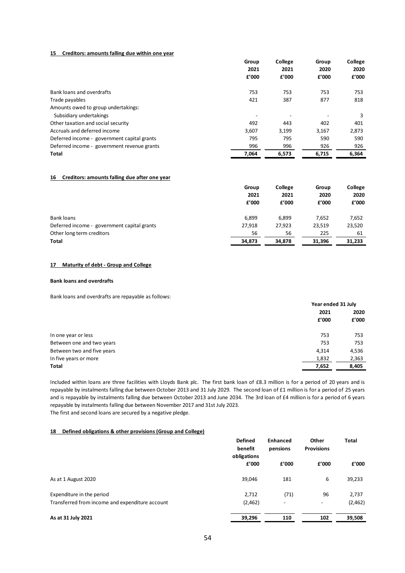#### **15 Creditors: amounts falling due within one year**

| Group<br>2021<br>f'000 | College<br>2021 |       | Group | College |
|------------------------|-----------------|-------|-------|---------|
|                        |                 |       | 2020  | 2020    |
|                        | f'000           | f'000 | £'000 |         |
| 753                    | 753             | 753   | 753   |         |
| 421                    | 387             | 877   | 818   |         |
|                        |                 |       |       |         |
|                        |                 |       | 3     |         |
| 492                    | 443             | 402   | 401   |         |
| 3,607                  | 3,199           | 3,167 | 2,873 |         |
| 795                    | 795             | 590   | 590   |         |
| 996                    | 996             | 926   | 926   |         |
| 7,064                  | 6,573           | 6.715 | 6,364 |         |
|                        |                 |       |       |         |

#### **16 Creditors: amounts falling due after one year**

|                                             | Group         | College       | Group         | College       |
|---------------------------------------------|---------------|---------------|---------------|---------------|
|                                             | 2021<br>f'000 | 2021<br>f'000 | 2020<br>f'000 | 2020<br>£'000 |
|                                             |               |               |               |               |
| Bank loans                                  | 6,899         | 6,899         | 7,652         | 7,652         |
| Deferred income - government capital grants | 27,918        | 27,923        | 23,519        | 23,520        |
| Other long term creditors                   | 56            | 56            | 225           | 61            |
| Total                                       | 34,873        | 34,878        | 31.396        | 31.233        |

#### **17 Maturity of debt - Group and College**

#### **Bank loans and overdrafts**

Bank loans and overdrafts are repayable as follows:

|                            |       | Year ended 31 July |  |
|----------------------------|-------|--------------------|--|
|                            | 2021  | 2020               |  |
|                            | £'000 | f'000              |  |
| In one year or less        | 753   | 753                |  |
| Between one and two years  | 753   | 753                |  |
| Between two and five years | 4,314 | 4,536              |  |
| In five years or more      | 1,832 | 2,363              |  |
| Total                      | 7,652 | 8,405              |  |

Included within loans are three facilities with Lloyds Bank plc. The first bank loan of £8.3 million is for a period of 20 years and is repayable by instalments falling due between October 2013 and 31 July 2029. The second loan of £1 million is for a period of 25 years and is repayable by instalments falling due between October 2013 and June 2034. The 3rd loan of £4 million is for a period of 6 years repayable by instalments falling due between November 2017 and 31st July 2023. The first and second loans are secured by a negative pledge.

#### **18 Defined obligations & other provisions (Group and College)**

| benefit |                               | <b>Enhanced</b><br>pensions | Other<br><b>Provisions</b> | <b>Total</b> |
|---------|-------------------------------|-----------------------------|----------------------------|--------------|
| f'000   | f'000                         | f'000                       | f'000                      |              |
| 39,046  | 181                           | 6                           | 39,233                     |              |
| 2,712   | (71)                          | 96                          | 2,737                      |              |
| (2,462) | $\overline{\phantom{a}}$      | -                           | (2,462)                    |              |
| 39,296  | 110                           | 102                         | 39,508                     |              |
|         | <b>Defined</b><br>obligations |                             |                            |              |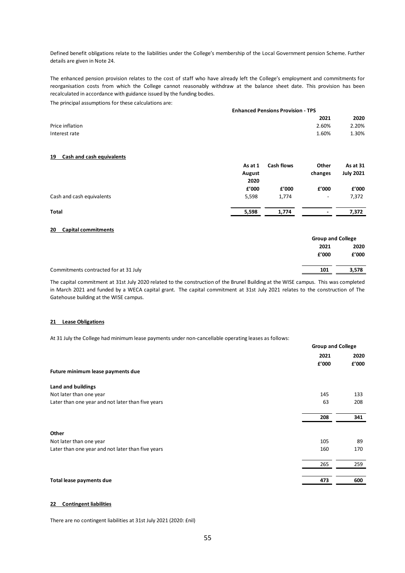Defined benefit obligations relate to the liabilities under the College's membership of the Local Government pension Scheme. Further details are given in Note 24.

The principal assumptions for these calculations are: The enhanced pension provision relates to the cost of staff who have already left the College's employment and commitments for reorganisation costs from which the College cannot reasonably withdraw at the balance sheet date. This provision has been recalculated in accordance with guidance issued by the funding bodies.

|                 | <b>Enhanced Pensions Provision - TPS</b> |       |  |
|-----------------|------------------------------------------|-------|--|
|                 | 2021                                     | 2020  |  |
| Price inflation | 2.60%                                    | 2.20% |  |
| Interest rate   | 1.60%                                    | 1.30% |  |
|                 |                                          |       |  |

#### **19 Cash and cash equivalents**

|                           | As at 1 | <b>Cash flows</b> | Other                    | As at 31         |
|---------------------------|---------|-------------------|--------------------------|------------------|
|                           | August  |                   | changes                  | <b>July 2021</b> |
|                           | 2020    |                   |                          |                  |
|                           | f'000   | f'000             | f'000                    | f'000            |
| Cash and cash equivalents | 5,598   | 1,774             | $\overline{\phantom{a}}$ | 7,372            |
| <b>Total</b>              | 5,598   | 1,774             | $\blacksquare$           | 7,372            |

#### **20 Capital commitments**

|                                       |       | <b>Group and College</b> |  |
|---------------------------------------|-------|--------------------------|--|
|                                       | 2021  | 2020                     |  |
|                                       | f'000 | f'000                    |  |
| Commitments contracted for at 31 July | 101   | 3,578                    |  |
|                                       |       |                          |  |

The capital commitment at 31st July 2020 related to the construction of the Brunel Building at the WISE campus. This was completed in March 2021 and funded by a WECA capital grant. The capital commitment at 31st July 2021 relates to the construction of The Gatehouse building at the WISE campus.

#### **21 Lease Obligations**

At 31 July the College had minimum lease payments under non-cancellable operating leases as follows:

|                                                   |               | <b>Group and College</b> |
|---------------------------------------------------|---------------|--------------------------|
|                                                   | 2021<br>f'000 | 2020<br>f'000            |
| Future minimum lease payments due                 |               |                          |
| Land and buildings                                |               |                          |
| Not later than one year                           | 145           | 133                      |
| Later than one year and not later than five years | 63            | 208                      |
|                                                   | 208           | 341                      |
| Other                                             |               |                          |
| Not later than one year                           | 105           | 89                       |
| Later than one year and not later than five years | 160           | 170                      |
|                                                   | 265           | 259                      |
|                                                   |               |                          |
| Total lease payments due                          | 473           | 600                      |

## **22 Contingent liabilities**

There are no contingent liabilities at 31st July 2021 (2020: £nil)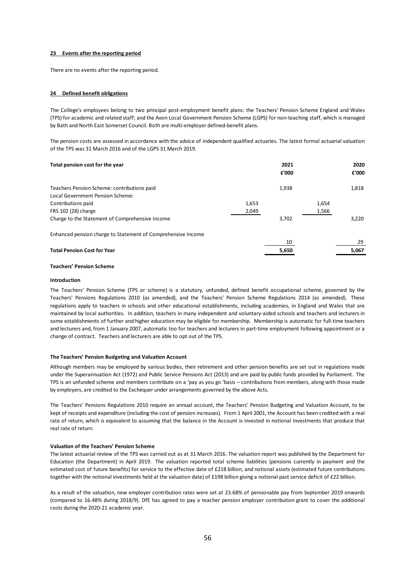#### **23 Events after the reporting period**

There are no events after the reporting period.

#### **24 Defined benefit obligations**

The College's employees belong to two principal post-employment benefit plans: the Teachers' Pension Scheme England and Wales (TPS) for academic and related staff; and the Avon Local Government Pension Scheme (LGPS) for non-teaching staff, which is managed by Bath and North East Somerset Council. Both are multi-employer defined-benefit plans.

The pension costs are assessed in accordance with the advice of independent qualified actuaries. The latest formal actuarial valuation of the TPS was 31 March 2016 and of the LGPS 31 March 2019.

| Total pension cost for the year                              |       | 2021<br>£'000 |       | 2020<br>£'000 |
|--------------------------------------------------------------|-------|---------------|-------|---------------|
| Teachers Pension Scheme: contributions paid                  |       | 1,938         |       | 1,818         |
| Local Government Pension Scheme:                             |       |               |       |               |
| Contributions paid                                           | 1,653 |               | 1,654 |               |
| FRS 102 (28) charge                                          | 2,049 |               | 1,566 |               |
| Charge to the Statement of Comprehensive Income              |       | 3,702         |       | 3.220         |
| Enhanced pension charge to Statement of Comprehensive Income |       |               |       |               |
|                                                              |       | 10            |       | 29            |
| <b>Total Pension Cost for Year</b>                           |       | 5,650         |       | 5.067         |
|                                                              |       |               |       |               |

#### **Teachers' Pension Scheme**

#### **Introduction**

The Teachers' Pension Scheme (TPS or scheme) is a statutory, unfunded, defined benefit occupational scheme, governed by the Teachers' Pensions Regulations 2010 (as amended), and the Teachers' Pension Scheme Regulations 2014 (as amended). These regulations apply to teachers in schools and other educational establishments, including academies, in England and Wales that are maintained by local authorities. In addition, teachers in many independent and voluntary-aided schools and teachers and lecturers in some establishments of further and higher education may be eligible for membership. Membership is automatic for full-time teachers and lecturers and, from 1 January 2007, automatic too for teachers and lecturers in part-time employment following appointment or a change of contract. Teachers and lecturers are able to opt out of the TPS.

#### **The Teachers' Pension Budgeting and Valuation Account**

Although members may be employed by various bodies, their retirement and other pension benefits are set out in regulations made under the Superannuation Act (1972) and Public Service Pensions Act (2013) and are paid by public funds provided by Parliament. The TPS is an unfunded scheme and members contribute on a 'pay as you go 'basis – contributions from members, along with those made by employers, are credited to the Exchequer under arrangements governed by the above Acts.

The Teachers' Pensions Regulations 2010 require an annual account, the Teachers' Pension Budgeting and Valuation Account, to be kept of receipts and expenditure (including the cost of pension increases). From 1 April 2001, the Account has been credited with a real rate of return, which is equivalent to assuming that the balance in the Account is invested in notional investments that produce that real rate of return.

#### **Valuation of the Teachers' Pension Scheme**

The latest actuarial review of the TPS was carried out as at 31 March 2016. The valuation report was published by the Department for Education (the Department) in April 2019. The valuation reported total scheme liabilities (pensions currently in payment and the estimated cost of future benefits) for service to the effective date of £218 billion, and notional assets (estimated future contributions together with the notional investments held at the valuation date) of £198 billion giving a notional past service deficit of £22 billion.

As a result of the valuation, new employer contribution rates were set at 23.68% of pensionable pay from September 2019 onwards (compared to 16.48% during 2018/9). DfE has agreed to pay a teacher pension employer contribution grant to cover the additional costs during the 2020-21 academic year.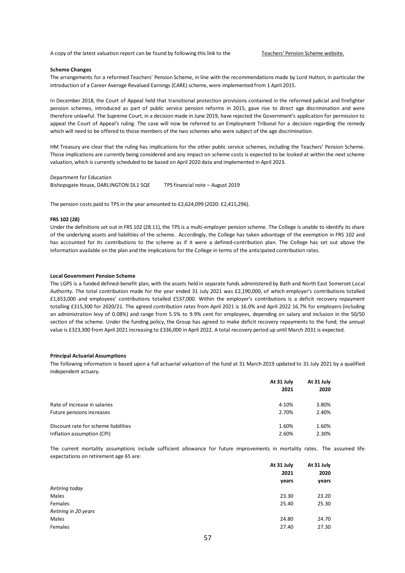A copy of the latest valuation report can be found by following this link to the Teachers' Pension Scheme website.

#### **Scheme Changes**

The arrangements for a reformed Teachers' Pension Scheme, in line with the recommendations made by Lord Hutton, in particular the introduction of a Career Average Revalued Earnings (CARE) scheme, were implemented from 1 April 2015.

In December 2018, the Court of Appeal held that transitional protection provisions contained in the reformed judicial and firefighter pension schemes, introduced as part of public service pension reforms in 2015, gave rise to direct age discrimination and were therefore unlawful. The Supreme Court, in a decision made in June 2019, have rejected the Government's application for permission to appeal the Court of Appeal's ruling. The case will now be referred to an Employment Tribunal for a decision regarding the remedy which will need to be offered to those members of the two schemes who were subject of the age discrimination.

HM Treasury are clear that the ruling has implications for the other public service schemes, including the Teachers' Pension Scheme. Those implications are currently being considered and any impact on scheme costs is expected to be looked at within the next scheme valuation, which is currently scheduled to be based on April 2020 data and implemented in April 2023.

Department for Education Bishopsgate House, DARLINGTON DL1 5QE TPS financial note – August 2019

The pension costs paid to TPS in the year amounted to £2,624,099 (2020: £2,415,296).

#### **FRS 102 (28)**

Under the definitions set out in FRS 102 (28.11), the TPS is a multi-employer pension scheme. The College is unable to identify its share of the underlying assets and liabilities of the scheme. Accordingly, the College has taken advantage of the exemption in FRS 102 and has accounted for its contributions to the scheme as if it were a defined-contribution plan. The College has set out above the information available on the plan and the implications for the College in terms of the anticipated contribution rates.

#### **Local Government Pension Scheme**

The LGPS is a funded defined-benefit plan, with the assets held in separate funds administered by Bath and North East Somerset Local Authority. The total contribution made for the year ended 31 July 2021 was £2,190,000, of which employer's contributions totalled £1,653,000 and employees' contributions totalled £537,000. Within the employer's contributions is a deficit recovery repayment totalling £315,300 for 2020/21. The agreed contribution rates from April 2021 is 16.0% and April 2022 16.7% for employers (including an administration levy of 0.08%) and range from 5.5% to 9.9% cent for employees, depending on salary and inclusion in the 50/50 section of the scheme. Under the funding policy, the Group has agreed to make deficit recovery repayments to the fund; the annual value is £323,300 from April 2021 increasing to £336,000 in April 2022. A total recovery period up until March 2031 is expected.

#### **Principal Actuarial Assumptions**

The following information is based upon a full actuarial valuation of the fund at 31 March 2019 updated to 31 July 2021 by a qualified independent actuary.

|                                      | At 31 July<br>2021 | At 31 July<br>2020 |
|--------------------------------------|--------------------|--------------------|
| Rate of increase in salaries         | 4.10%              | 3.80%              |
| Future pensions increases            | 2.70%              | 2.40%              |
| Discount rate for scheme liabilities | 1.60%              | 1.60%              |
| Inflation assumption (CPI)           | 2.60%              | 2.30%              |
|                                      |                    |                    |

The current mortality assumptions include sufficient allowance for future improvements in mortality rates. The assumed life expectations on retirement age 65 are:

| At 31 July | At 31 July |  |
|------------|------------|--|
| 2021       | 2020       |  |
| years      | years      |  |
|            |            |  |
| 23.30      | 23.20      |  |
| 25.40      | 25.30      |  |
|            |            |  |
| 24.80      | 24.70      |  |
| 27.40      | 27.30      |  |
|            |            |  |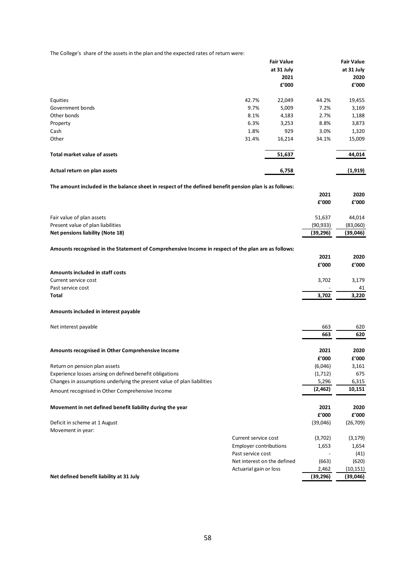The College's share of the assets in the plan and the expected rates of return were:

| The Conege's "share or the assets in the plan and the expected rates or return were."                  |       |                   |           |                        |
|--------------------------------------------------------------------------------------------------------|-------|-------------------|-----------|------------------------|
|                                                                                                        |       | <b>Fair Value</b> |           | <b>Fair Value</b>      |
|                                                                                                        |       | at 31 July        |           | at 31 July             |
|                                                                                                        |       | 2021              |           | 2020                   |
|                                                                                                        |       | £'000             |           | f'000                  |
| Equities                                                                                               | 42.7% | 22,049            | 44.2%     | 19,455                 |
| Government bonds                                                                                       | 9.7%  | 5,009             | 7.2%      | 3,169                  |
| Other bonds                                                                                            | 8.1%  | 4,183             | 2.7%      | 1,188                  |
| Property                                                                                               | 6.3%  | 3,253             | 8.8%      | 3,873                  |
| Cash                                                                                                   | 1.8%  | 929               | 3.0%      | 1,320                  |
| Other                                                                                                  | 31.4% | 16,214            | 34.1%     | 15,009                 |
|                                                                                                        |       |                   |           |                        |
| <b>Total market value of assets</b>                                                                    |       | 51,637            |           | 44,014                 |
| Actual return on plan assets                                                                           |       | 6,758             |           | (1, 919)               |
| The amount included in the balance sheet in respect of the defined benefit pension plan is as follows: |       |                   |           |                        |
|                                                                                                        |       |                   | 2021      | 2020                   |
|                                                                                                        |       |                   | f'000     | f'000                  |
|                                                                                                        |       |                   |           |                        |
| Fair value of plan assets                                                                              |       |                   | 51,637    | 44,014                 |
| Present value of plan liabilities                                                                      |       |                   | (90, 933) | (83,060)               |
| Net pensions liability (Note 18)                                                                       |       |                   | (39, 296) | (39,046)               |
| Amounts recognised in the Statement of Comprehensive Income in respect of the plan are as follows:     |       |                   |           |                        |
|                                                                                                        |       |                   | 2021      | 2020                   |
|                                                                                                        |       |                   | f'000     | f'000                  |
| Amounts included in staff costs                                                                        |       |                   |           |                        |
| Current service cost                                                                                   |       |                   | 3,702     | 3,179                  |
| Past service cost                                                                                      |       |                   |           | 41                     |
| Total                                                                                                  |       |                   | 3,702     | 3,220                  |
|                                                                                                        |       |                   |           |                        |
| Amounts included in interest payable                                                                   |       |                   |           |                        |
| Net interest payable                                                                                   |       |                   | 663       | 620                    |
|                                                                                                        |       |                   | 663       | 620                    |
| Amounts recognised in Other Comprehensive Income                                                       |       |                   | 2021      | 2020                   |
|                                                                                                        |       |                   | £'000     | ${\bf f}^{\prime}$ 000 |
| Return on pension plan assets                                                                          |       |                   | (6,046)   | 3,161                  |
| Experience losses arising on defined benefit obligations                                               |       |                   | (1,712)   | 675                    |
| Changes in assumptions underlying the present value of plan liabilities                                |       |                   | 5,296     | 6,315                  |
| Amount recognised in Other Comprehensive Income                                                        |       |                   | (2, 462)  | 10,151                 |
| Movement in net defined benefit liability during the year                                              |       |                   | 2021      | 2020                   |
|                                                                                                        |       |                   | £'000     | £'000                  |
|                                                                                                        |       |                   |           |                        |

| Deficit in scheme at 1 August | (39,046) | (26, 709) |
|-------------------------------|----------|-----------|
| Movement in year:             |          |           |

| Net defined benefit liability at 31 July | (39, 296) | (39,046) |
|------------------------------------------|-----------|----------|
|                                          |           |          |

Current service cost Employer contributions Past service cost

Net interest on the defined Actuarial gain or loss

 (3,702) (3,179) 1,653 1,654  $-$  (41) (663) (620) 2,462 (10,151)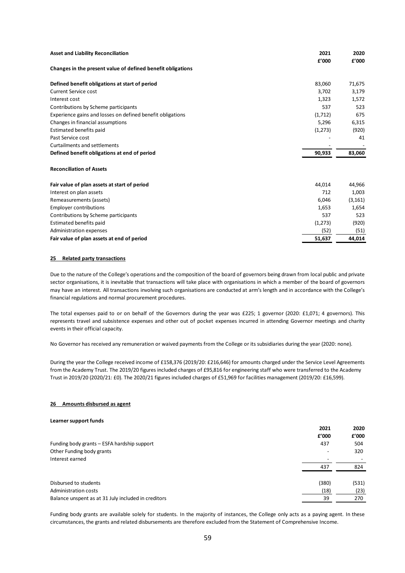| <b>Asset and Liability Reconciliation</b>                   | 2021<br>f'000 | 2020<br>f'000 |
|-------------------------------------------------------------|---------------|---------------|
| Changes in the present value of defined benefit obligations |               |               |
| Defined benefit obligations at start of period              | 83,060        | 71,675        |
| <b>Current Service cost</b>                                 | 3.702         | 3,179         |
| Interest cost                                               | 1,323         | 1,572         |
| Contributions by Scheme participants                        | 537           | 523           |
| Experience gains and losses on defined benefit obligations  | (1,712)       | 675           |
| Changes in financial assumptions                            | 5,296         | 6,315         |
| Estimated benefits paid                                     | (1,273)       | (920)         |
| Past Service cost                                           |               | 41            |
| Curtailments and settlements                                |               |               |
| Defined benefit obligations at end of period                | 90,933        | 83,060        |
| <b>Reconciliation of Assets</b>                             |               |               |
| Fair value of plan assets at start of period                | 44,014        | 44,966        |
| Interest on plan assets                                     | 712           | 1,003         |
| Remeasurements (assets)                                     | 6,046         | (3, 161)      |
| <b>Employer contributions</b>                               | 1,653         | 1,654         |
| Contributions by Scheme participants                        | 537           | 523           |
| Estimated benefits paid                                     | (1,273)       | (920)         |
| Administration expenses                                     | (52)          | (51)          |
| Fair value of plan assets at end of period                  | 51.637        | 44.014        |

#### **25 Related party transactions**

Due to the nature of the College's operations and the composition of the board of governors being drawn from local public and private sector organisations, it is inevitable that transactions will take place with organisations in which a member of the board of governors may have an interest. All transactions involving such organisations are conducted at arm's length and in accordance with the College's financial regulations and normal procurement procedures.

The total expenses paid to or on behalf of the Governors during the year was £225; 1 governor (2020: £1,071; 4 governors). This represents travel and subsistence expenses and other out of pocket expenses incurred in attending Governor meetings and charity events in their official capacity.

No Governor has received any remuneration or waived payments from the College or its subsidiaries during the year (2020: none).

During the year the College received income of £158,376 (2019/20: £216,646) for amounts charged under the Service Level Agreements from the Academy Trust. The 2019/20 figures included charges of £95,816 for engineering staff who were transferred to the Academy Trust in 2019/20 (2020/21: £0). The 2020/21 figures included charges of £51,969 for facilities management (2019/20: £16,599).

#### **26 Amounts disbursed as agent**

#### **Learner support funds**

|                                                     | 2021  | 2020  |
|-----------------------------------------------------|-------|-------|
|                                                     | £'000 | f'000 |
| Funding body grants - ESFA hardship support         | 437   | 504   |
| Other Funding body grants                           |       | 320   |
| Interest earned                                     |       |       |
|                                                     | 437   | 824   |
| Disbursed to students                               | (380) | (531) |
| Administration costs                                | (18)  | (23)  |
| Balance unspent as at 31 July included in creditors | 39    | 270   |
|                                                     |       |       |

Funding body grants are available solely for students. In the majority of instances, the College only acts as a paying agent. In these circumstances, the grants and related disbursements are therefore excluded from the Statement of Comprehensive Income.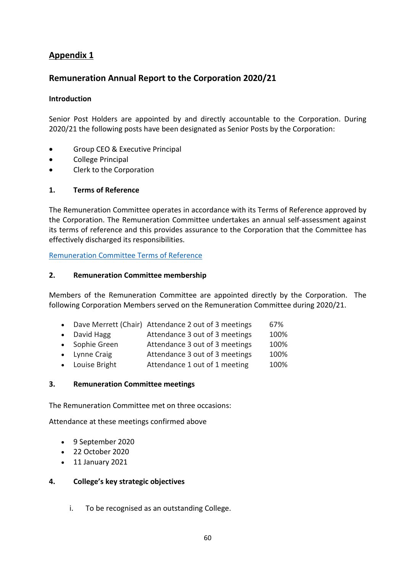# **Appendix 1**

# **Remuneration Annual Report to the Corporation 2020/21**

## **Introduction**

Senior Post Holders are appointed by and directly accountable to the Corporation. During 2020/21 the following posts have been designated as Senior Posts by the Corporation:

- Group CEO & Executive Principal
- College Principal
- Clerk to the Corporation

## **1. Terms of Reference**

The Remuneration Committee operates in accordance with its Terms of Reference approved by the Corporation. The Remuneration Committee undertakes an annual self-assessment against its terms of reference and this provides assurance to the Corporation that the Committee has effectively discharged its responsibilities.

[Remuneration Committee Terms of Reference](http://www.sgscol.ac.uk/repository/govs/Approved_Remuneration_Committee_TOR_Sep18.pdf)

## **2. Remuneration Committee membership**

Members of the Remuneration Committee are appointed directly by the Corporation. The following Corporation Members served on the Remuneration Committee during 2020/21.

- Dave Merrett (Chair) Attendance 2 out of 3 meetings 67%
- David Hagg Attendance 3 out of 3 meetings 100%
- Sophie Green Attendance 3 out of 3 meetings 100%
- Lynne Craig **Attendance 3 out of 3 meetings** 100%
- Louise Bright Attendance 1 out of 1 meeting 100%

## **3. Remuneration Committee meetings**

The Remuneration Committee met on three occasions:

Attendance at these meetings confirmed above

- 9 September 2020
- 22 October 2020
- 11 January 2021

## **4. College's key strategic objectives**

i. To be recognised as an outstanding College.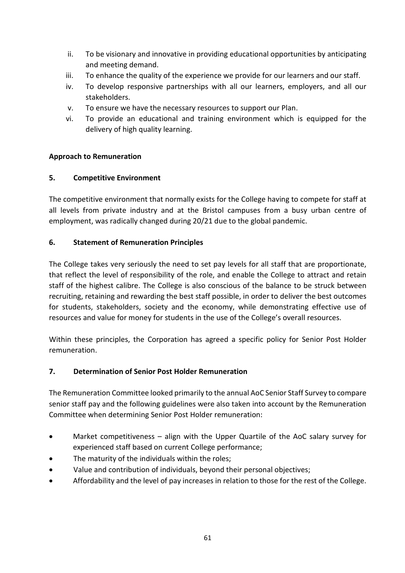- ii. To be visionary and innovative in providing educational opportunities by anticipating and meeting demand.
- iii. To enhance the quality of the experience we provide for our learners and our staff.
- iv. To develop responsive partnerships with all our learners, employers, and all our stakeholders.
- v. To ensure we have the necessary resources to support our Plan.
- vi. To provide an educational and training environment which is equipped for the delivery of high quality learning.

## **Approach to Remuneration**

## **5. Competitive Environment**

The competitive environment that normally exists for the College having to compete for staff at all levels from private industry and at the Bristol campuses from a busy urban centre of employment, was radically changed during 20/21 due to the global pandemic.

## **6. Statement of Remuneration Principles**

The College takes very seriously the need to set pay levels for all staff that are proportionate, that reflect the level of responsibility of the role, and enable the College to attract and retain staff of the highest calibre. The College is also conscious of the balance to be struck between recruiting, retaining and rewarding the best staff possible, in order to deliver the best outcomes for students, stakeholders, society and the economy, while demonstrating effective use of resources and value for money for students in the use of the College's overall resources.

Within these principles, the Corporation has agreed a specific policy for Senior Post Holder remuneration.

## **7. Determination of Senior Post Holder Remuneration**

The Remuneration Committee looked primarily to the annual AoC Senior Staff Survey to compare senior staff pay and the following guidelines were also taken into account by the Remuneration Committee when determining Senior Post Holder remuneration:

- Market competitiveness align with the Upper Quartile of the AoC salary survey for experienced staff based on current College performance;
- The maturity of the individuals within the roles;
- Value and contribution of individuals, beyond their personal objectives;
- Affordability and the level of pay increases in relation to those for the rest of the College.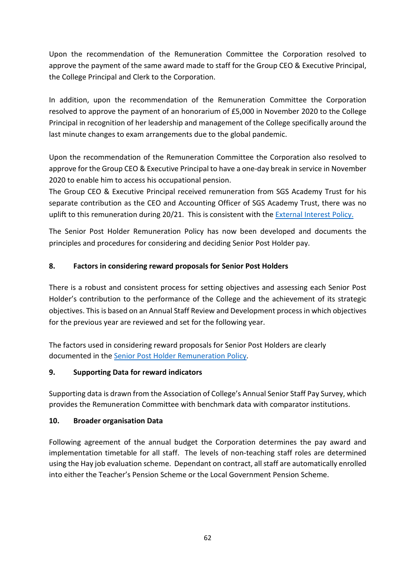Upon the recommendation of the Remuneration Committee the Corporation resolved to approve the payment of the same award made to staff for the Group CEO & Executive Principal, the College Principal and Clerk to the Corporation.

In addition, upon the recommendation of the Remuneration Committee the Corporation resolved to approve the payment of an honorarium of £5,000 in November 2020 to the College Principal in recognition of her leadership and management of the College specifically around the last minute changes to exam arrangements due to the global pandemic.

Upon the recommendation of the Remuneration Committee the Corporation also resolved to approve for the Group CEO & Executive Principal to have a one-day break in service in November 2020 to enable him to access his occupational pension.

The Group CEO & Executive Principal received remuneration from SGS Academy Trust for his separate contribution as the CEO and Accounting Officer of SGS Academy Trust, there was no uplift to this remuneration during 20/21. This is consistent with the [External Interest Policy.](https://sgscol.sharepoint.com/:w:/r/sites/staff/DataHub/_layouts/15/Doc.aspx?sourcedoc=%7BE9518741-240C-4E5E-B84D-9E7D7C12932F%7D&file=External%20Interest%20policy.docx&action=default&mobileredirect=true)

The Senior Post Holder Remuneration Policy has now been developed and documents the principles and procedures for considering and deciding Senior Post Holder pay.

# **8. Factors in considering reward proposals for Senior Post Holders**

There is a robust and consistent process for setting objectives and assessing each Senior Post Holder's contribution to the performance of the College and the achievement of its strategic objectives. This is based on an Annual Staff Review and Development process in which objectives for the previous year are reviewed and set for the following year.

The factors used in considering reward proposals for Senior Post Holders are clearly documented in th[e Senior Post Holder Remuneration Policy.](https://sgscol.sharepoint.com/:w:/r/sites/staff/DataHub/_layouts/15/Doc.aspx?sourcedoc=%7BD8855E49-35A5-4DA1-BF82-895A3FB13BC0%7D&file=Senior%20Post%20Holder%20Remuneration%20Policy.docx&action=default&mobileredirect=true)

# **9. Supporting Data for reward indicators**

Supporting data is drawn from the Association of College's Annual Senior Staff Pay Survey, which provides the Remuneration Committee with benchmark data with comparator institutions.

# **10. Broader organisation Data**

Following agreement of the annual budget the Corporation determines the pay award and implementation timetable for all staff. The levels of non-teaching staff roles are determined using the Hay job evaluation scheme. Dependant on contract, all staff are automatically enrolled into either the Teacher's Pension Scheme or the Local Government Pension Scheme.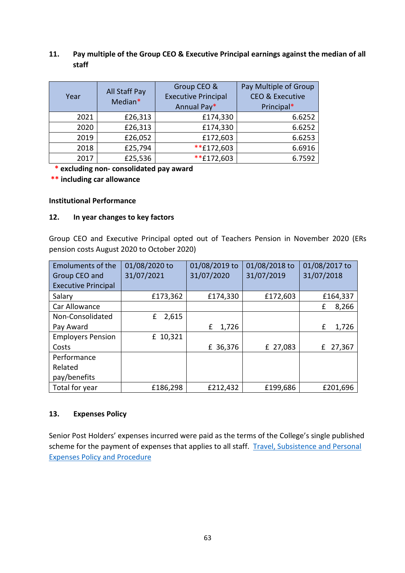## **11. Pay multiple of the Group CEO & Executive Principal earnings against the median of all staff**

| Year | All Staff Pay<br>Median* | Group CEO &<br><b>Executive Principal</b><br>Annual Pay* | Pay Multiple of Group<br><b>CEO &amp; Executive</b><br>Principal* |
|------|--------------------------|----------------------------------------------------------|-------------------------------------------------------------------|
| 2021 | £26,313                  | £174,330                                                 | 6.6252                                                            |
| 2020 | £26,313                  | £174,330                                                 | 6.6252                                                            |
| 2019 | £26,052                  | £172,603                                                 | 6.6253                                                            |
| 2018 | £25,794                  | **£172,603                                               | 6.6916                                                            |
| 2017 | £25,536                  | **£172,603                                               | 6.7592                                                            |

 **\* excluding non- consolidated pay award**

**\*\* including car allowance**

## **Institutional Performance**

## **12. In year changes to key factors**

Group CEO and Executive Principal opted out of Teachers Pension in November 2020 (ERs pension costs August 2020 to October 2020)

| <b>Emoluments of the</b>   | 01/08/2020 to | 01/08/2019 to | 01/08/2018 to | 01/08/2017 to |
|----------------------------|---------------|---------------|---------------|---------------|
| Group CEO and              | 31/07/2021    | 31/07/2020    | 31/07/2019    | 31/07/2018    |
| <b>Executive Principal</b> |               |               |               |               |
| Salary                     | £173,362      | £174,330      | £172,603      | £164,337      |
| Car Allowance              |               |               |               | 8,266<br>£    |
| Non-Consolidated           | 2,615<br>£    |               |               |               |
| Pay Award                  |               | 1,726<br>£    |               | 1,726<br>£    |
| <b>Employers Pension</b>   | £ 10,321      |               |               |               |
| Costs                      |               | £ 36,376      | £ 27,083      | 27,367<br>£   |
| Performance                |               |               |               |               |
| Related                    |               |               |               |               |
| pay/benefits               |               |               |               |               |
| Total for year             | £186,298      | £212,432      | £199,686      | £201,696      |

## **13. Expenses Policy**

Senior Post Holders' expenses incurred were paid as the terms of the College's single published scheme for the payment of expenses that applies to all staff. Travel, Subsistence and Personal [Expenses Policy and Procedure](https://sgscol.sharepoint.com/:w:/r/sites/staff/DataHub/_layouts/15/Doc.aspx?sourcedoc=%7B1D9878D3-AD90-43AC-B87A-EEE1109AA322%7D&file=Travel%20Subsistence%20and%20Personal%20Expenses%20Policy%20and%20Procedure.docx&action=default&mobileredirect=true)